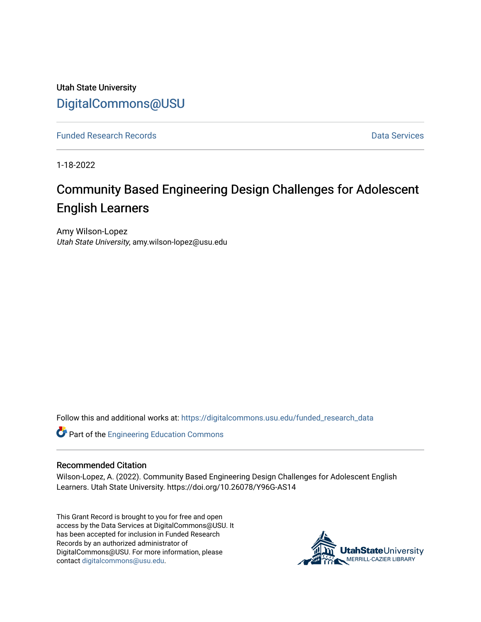Utah State University [DigitalCommons@USU](https://digitalcommons.usu.edu/)

**[Funded Research Records](https://digitalcommons.usu.edu/funded_research_data) Contract Services** Data Services

1-18-2022

# Community Based Engineering Design Challenges for Adolescent English Learners

Amy Wilson-Lopez Utah State University, amy.wilson-lopez@usu.edu

Follow this and additional works at: [https://digitalcommons.usu.edu/funded\\_research\\_data](https://digitalcommons.usu.edu/funded_research_data?utm_source=digitalcommons.usu.edu%2Ffunded_research_data%2F220&utm_medium=PDF&utm_campaign=PDFCoverPages) 

Part of the [Engineering Education Commons](http://network.bepress.com/hgg/discipline/1191?utm_source=digitalcommons.usu.edu%2Ffunded_research_data%2F220&utm_medium=PDF&utm_campaign=PDFCoverPages) 

## Recommended Citation

Wilson-Lopez, A. (2022). Community Based Engineering Design Challenges for Adolescent English Learners. Utah State University. https://doi.org/10.26078/Y96G-AS14

This Grant Record is brought to you for free and open access by the Data Services at DigitalCommons@USU. It has been accepted for inclusion in Funded Research Records by an authorized administrator of DigitalCommons@USU. For more information, please contact [digitalcommons@usu.edu](mailto:digitalcommons@usu.edu).

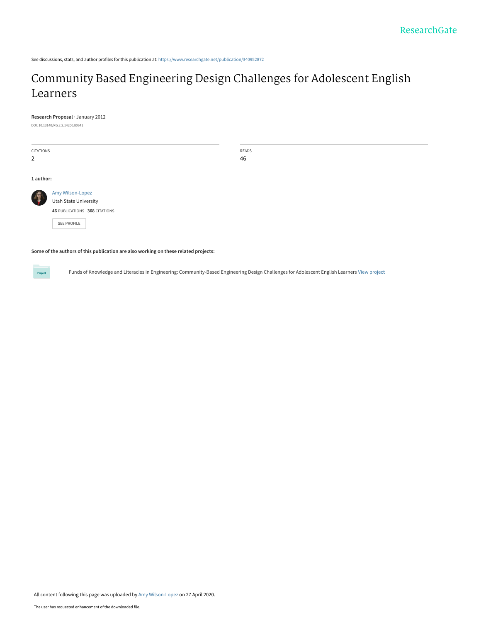See discussions, stats, and author profiles for this publication at: [https://www.researchgate.net/publication/340952872](https://www.researchgate.net/publication/340952872_Community_Based_Engineering_Design_Challenges_for_Adolescent_English_Learners?enrichId=rgreq-314124d61299fb5c520685f9f7e53cda-XXX&enrichSource=Y292ZXJQYWdlOzM0MDk1Mjg3MjtBUzo4ODUwMjAwNjM0NDQ5OTVAMTU4ODAxNjYzNDM4OQ%3D%3D&el=1_x_2&_esc=publicationCoverPdf)

# [Community Based Engineering Design Challenges for Adolescent English](https://www.researchgate.net/publication/340952872_Community_Based_Engineering_Design_Challenges_for_Adolescent_English_Learners?enrichId=rgreq-314124d61299fb5c520685f9f7e53cda-XXX&enrichSource=Y292ZXJQYWdlOzM0MDk1Mjg3MjtBUzo4ODUwMjAwNjM0NDQ5OTVAMTU4ODAxNjYzNDM4OQ%3D%3D&el=1_x_3&_esc=publicationCoverPdf) Learners

READS 46

#### **Research Proposal** · January 2012

DOI: 10.13140/RG.2.2.14200.80641

| <b>CITATIONS</b> |                                                  |
|------------------|--------------------------------------------------|
| 2                |                                                  |
|                  |                                                  |
| 1 author:        |                                                  |
|                  | Amy Wilson-Lopez<br><b>Utah State University</b> |

**46** PUBLICATIONS **368** CITATIONS [SEE PROFILE](https://www.researchgate.net/profile/Amy-Wilson-Lopez?enrichId=rgreq-314124d61299fb5c520685f9f7e53cda-XXX&enrichSource=Y292ZXJQYWdlOzM0MDk1Mjg3MjtBUzo4ODUwMjAwNjM0NDQ5OTVAMTU4ODAxNjYzNDM4OQ%3D%3D&el=1_x_7&_esc=publicationCoverPdf)

Project

**Some of the authors of this publication are also working on these related projects:**

Funds of Knowledge and Literacies in Engineering: Community-Based Engineering Design Challenges for Adolescent English Learners [View project](https://www.researchgate.net/project/Funds-of-Knowledge-and-Literacies-in-Engineering-Community-Based-Engineering-Design-Challenges-for-Adolescent-English-Learners?enrichId=rgreq-314124d61299fb5c520685f9f7e53cda-XXX&enrichSource=Y292ZXJQYWdlOzM0MDk1Mjg3MjtBUzo4ODUwMjAwNjM0NDQ5OTVAMTU4ODAxNjYzNDM4OQ%3D%3D&el=1_x_9&_esc=publicationCoverPdf)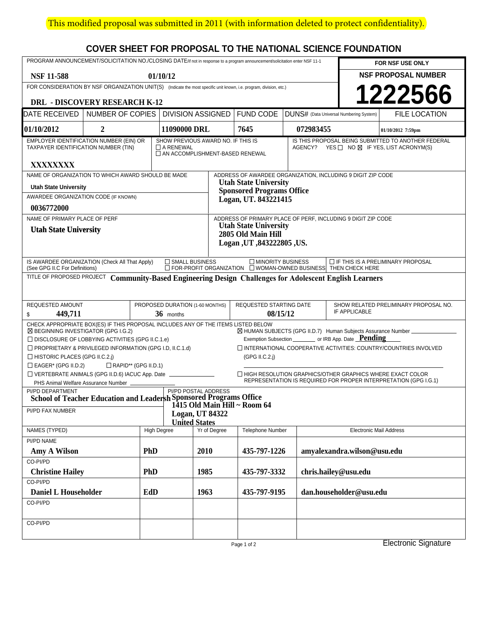# **COVER SHEET FOR PROPOSAL TO THE NATIONAL SCIENCE FOUNDATION**

| PROGRAM ANNOUNCEMENT/SOLICITATION NO./CLOSING DATE/if not in response to a program announcement/solicitation enter NSF 11-1 |                                                                                                                     |                    |                                                        |              |                                                    |                            |                                                                                                                              | FOR NSF USE ONLY                                                                                                 |
|-----------------------------------------------------------------------------------------------------------------------------|---------------------------------------------------------------------------------------------------------------------|--------------------|--------------------------------------------------------|--------------|----------------------------------------------------|----------------------------|------------------------------------------------------------------------------------------------------------------------------|------------------------------------------------------------------------------------------------------------------|
| <b>NSF 11-588</b><br>01/10/12                                                                                               |                                                                                                                     |                    |                                                        |              |                                                    | <b>NSF PROPOSAL NUMBER</b> |                                                                                                                              |                                                                                                                  |
|                                                                                                                             | FOR CONSIDERATION BY NSF ORGANIZATION UNIT(S) (Indicate the most specific unit known, i.e. program, division, etc.) |                    |                                                        |              |                                                    |                            |                                                                                                                              |                                                                                                                  |
| <b>DRL - DISCOVERY RESEARCH K-12</b>                                                                                        |                                                                                                                     |                    |                                                        |              |                                                    |                            |                                                                                                                              | 1222566                                                                                                          |
| DATE RECEIVED                                                                                                               | <b>DIVISION ASSIGNED</b><br><b>FUND CODE</b><br><b>NUMBER OF COPIES</b><br>DUNS# (Data Universal Numbering System)  |                    |                                                        |              |                                                    |                            | <b>FILE LOCATION</b>                                                                                                         |                                                                                                                  |
| 01/10/2012                                                                                                                  | $\boldsymbol{2}$                                                                                                    |                    | 11090000 DRL                                           |              | 7645                                               | 072983455                  |                                                                                                                              | 01/10/2012 7:59pm                                                                                                |
| EMPLOYER IDENTIFICATION NUMBER (EIN) OR<br>TAXPAYER IDENTIFICATION NUMBER (TIN)                                             |                                                                                                                     |                    | SHOW PREVIOUS AWARD NO. IF THIS IS<br>$\Box$ A RENEWAL |              |                                                    |                            |                                                                                                                              | IS THIS PROPOSAL BEING SUBMITTED TO ANOTHER FEDERAL<br>AGENCY? YES $\Box$ NO $\boxtimes$ IF YES, LIST ACRONYM(S) |
|                                                                                                                             |                                                                                                                     |                    | AN ACCOMPLISHMENT-BASED RENEWAL                        |              |                                                    |                            |                                                                                                                              |                                                                                                                  |
| XXXXXXXX<br>NAME OF ORGANIZATION TO WHICH AWARD SHOULD BE MADE                                                              |                                                                                                                     |                    |                                                        |              |                                                    |                            | ADDRESS OF AWARDEE ORGANIZATION, INCLUDING 9 DIGIT ZIP CODE                                                                  |                                                                                                                  |
| <b>Utah State University</b>                                                                                                |                                                                                                                     |                    |                                                        |              | <b>Utah State University</b>                       |                            |                                                                                                                              |                                                                                                                  |
| AWARDEE ORGANIZATION CODE (IF KNOWN)                                                                                        |                                                                                                                     |                    |                                                        |              | <b>Sponsored Programs Office</b>                   |                            |                                                                                                                              |                                                                                                                  |
| 0036772000                                                                                                                  |                                                                                                                     |                    |                                                        |              | Logan, UT. 843221415                               |                            |                                                                                                                              |                                                                                                                  |
| NAME OF PRIMARY PLACE OF PERF                                                                                               |                                                                                                                     |                    |                                                        |              |                                                    |                            | ADDRESS OF PRIMARY PLACE OF PERF, INCLUDING 9 DIGIT ZIP CODE                                                                 |                                                                                                                  |
| <b>Utah State University</b>                                                                                                |                                                                                                                     |                    |                                                        |              | <b>Utah State University</b><br>2805 Old Main Hill |                            |                                                                                                                              |                                                                                                                  |
|                                                                                                                             |                                                                                                                     |                    |                                                        |              | Logan, UT, 843222805, US.                          |                            |                                                                                                                              |                                                                                                                  |
|                                                                                                                             |                                                                                                                     |                    |                                                        |              |                                                    |                            |                                                                                                                              |                                                                                                                  |
| IS AWARDEE ORGANIZATION (Check All That Apply)<br>(See GPG II.C For Definitions)                                            |                                                                                                                     |                    | SMALL BUSINESS                                         |              | MINORITY BUSINESS                                  |                            | □ FOR-PROFIT ORGANIZATION □ WOMAN-OWNED BUSINESS THEN CHECK HERE                                                             | $\Box$ IF THIS IS A PRELIMINARY PROPOSAL                                                                         |
| TITLE OF PROPOSED PROJECT Community-Based Engineering Design Challenges for Adolescent English Learners                     |                                                                                                                     |                    |                                                        |              |                                                    |                            |                                                                                                                              |                                                                                                                  |
|                                                                                                                             |                                                                                                                     |                    |                                                        |              |                                                    |                            |                                                                                                                              |                                                                                                                  |
| REQUESTED AMOUNT                                                                                                            |                                                                                                                     |                    | PROPOSED DURATION (1-60 MONTHS)                        |              | REQUESTED STARTING DATE                            |                            |                                                                                                                              | SHOW RELATED PRELIMINARY PROPOSAL NO.                                                                            |
| 449,711<br>\$                                                                                                               |                                                                                                                     |                    | 36 months                                              |              | 08/15/12                                           |                            | IF APPLICABLE                                                                                                                |                                                                                                                  |
| CHECK APPROPRIATE BOX(ES) IF THIS PROPOSAL INCLUDES ANY OF THE ITEMS LISTED BELOW                                           |                                                                                                                     |                    |                                                        |              |                                                    |                            |                                                                                                                              |                                                                                                                  |
| ⊠ BEGINNING INVESTIGATOR (GPG I.G.2)<br>$\Box$ DISCLOSURE OF LOBBYING ACTIVITIES (GPG II.C.1.e)                             |                                                                                                                     |                    |                                                        |              |                                                    |                            | ⊠ HUMAN SUBJECTS (GPG II.D.7) Human Subjects Assurance Number _<br>Exemption Subsection ___________ or IRB App. Date Pending |                                                                                                                  |
| PROPRIETARY & PRIVILEGED INFORMATION (GPG I.D, II.C.1.d)                                                                    |                                                                                                                     |                    |                                                        |              |                                                    |                            |                                                                                                                              | □ INTERNATIONAL COOPERATIVE ACTIVITIES: COUNTRY/COUNTRIES INVOLVED                                               |
| $\Box$ HISTORIC PLACES (GPG II.C.2.)                                                                                        |                                                                                                                     |                    |                                                        |              | (GPG II.C.2)                                       |                            |                                                                                                                              |                                                                                                                  |
| $\Box$ EAGER* (GPG II.D.2)<br>VERTEBRATE ANIMALS (GPG II.D.6) IACUC App. Date _________________________________             | $\Box$ RAPID** (GPG II.D.1)                                                                                         |                    |                                                        |              |                                                    |                            | $\Box$ HIGH RESOLUTION GRAPHICS/OTHER GRAPHICS WHERE EXACT COLOR                                                             |                                                                                                                  |
| PHS Animal Welfare Assurance Number _                                                                                       |                                                                                                                     |                    |                                                        |              |                                                    |                            |                                                                                                                              | REPRESENTATION IS REQUIRED FOR PROPER INTERPRETATION (GPG I.G.1)                                                 |
| PI/PD DEPARTMENT                                                                                                            |                                                                                                                     |                    | PI/PD POSTAL ADDRESS                                   |              |                                                    |                            |                                                                                                                              |                                                                                                                  |
| School of Teacher Education and Leadersh Sponsored Programs Office                                                          |                                                                                                                     |                    | 1415 Old Main Hill ~ Room 64                           |              |                                                    |                            |                                                                                                                              |                                                                                                                  |
| PI/PD FAX NUMBER                                                                                                            |                                                                                                                     |                    | Logan, UT 84322                                        |              |                                                    |                            |                                                                                                                              |                                                                                                                  |
| NAMES (TYPED)                                                                                                               |                                                                                                                     | <b>High Degree</b> | <b>United States</b>                                   | Yr of Degree | Telephone Number                                   |                            |                                                                                                                              | <b>Electronic Mail Address</b>                                                                                   |
| PI/PD NAME                                                                                                                  |                                                                                                                     |                    |                                                        |              |                                                    |                            |                                                                                                                              |                                                                                                                  |
| Amy A Wilson                                                                                                                |                                                                                                                     | <b>PhD</b>         | 2010                                                   |              | 435-797-1226                                       |                            | amyalexandra.wilson@usu.edu                                                                                                  |                                                                                                                  |
| CO-PI/PD                                                                                                                    |                                                                                                                     |                    |                                                        |              |                                                    |                            |                                                                                                                              |                                                                                                                  |
| <b>Christine Hailey</b>                                                                                                     |                                                                                                                     | <b>PhD</b>         | 1985                                                   |              | 435-797-3332                                       |                            | chris.hailey@usu.edu                                                                                                         |                                                                                                                  |
| CO-PI/PD                                                                                                                    |                                                                                                                     |                    |                                                        |              |                                                    |                            |                                                                                                                              |                                                                                                                  |
| <b>Daniel L Householder</b><br>EdD<br>1963<br>435-797-9195<br>dan.householder@usu.edu                                       |                                                                                                                     |                    |                                                        |              |                                                    |                            |                                                                                                                              |                                                                                                                  |
|                                                                                                                             | CO-PI/PD                                                                                                            |                    |                                                        |              |                                                    |                            |                                                                                                                              |                                                                                                                  |
| CO-PI/PD                                                                                                                    |                                                                                                                     |                    |                                                        |              |                                                    |                            |                                                                                                                              |                                                                                                                  |
|                                                                                                                             |                                                                                                                     |                    |                                                        |              |                                                    |                            |                                                                                                                              |                                                                                                                  |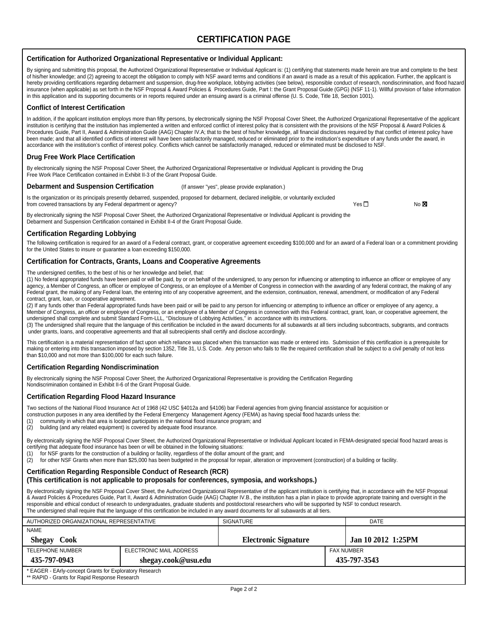## **CERTIFICATION PAGE**

#### **Certification for Authorized Organizational Representative or Individual Applicant:**

By signing and submitting this proposal, the Authorized Organizational Representative or Individual Applicant is: (1) certifying that statements made herein are true and complete to the best of his/her knowledge; and (2) agreeing to accept the obligation to comply with NSF award terms and conditions if an award is made as a result of this application. Further, the applicant is hereby providing certifications regarding debarment and suspension, drug-free workplace, lobbying activities (see below), responsible conduct of research, nondiscrimination, and flood hazard insurance (when applicable) as set forth in the NSF Proposal & Award Policies & Procedures Guide, Part I: the Grant Proposal Guide (GPG) (NSF 11-1). Willful provision of false information in this application and its supporting documents or in reports required under an ensuing award is a criminal offense (U. S. Code, Title 18, Section 1001).

#### **Conflict of Interest Certification**

In addition, if the applicant institution employs more than fifty persons, by electronically signing the NSF Proposal Cover Sheet, the Authorized Organizational Representative of the applicant institution is certifying that the institution has implemented a written and enforced conflict of interest policy that is consistent with the provisions of the NSF Proposal & Award Policies & Procedures Guide, Part II, Award & Administration Guide (AAG) Chapter IV.A; that to the best of his/her knowledge, all financial disclosures required by that conflict of interest policy have been made; and that all identified conflicts of interest will have been satisfactorily managed, reduced or eliminated prior to the institution's expenditure of any funds under the award, in accordance with the institution's conflict of interest policy. Conflicts which cannot be satisfactorily managed, reduced or eliminated must be disclosed to NSF.

#### **Drug Free Work Place Certification**

By electronically signing the NSF Proposal Cover Sheet, the Authorized Organizational Representative or Individual Applicant is providing the Drug Free Work Place Certification contained in Exhibit II-3 of the Grant Proposal Guide.

#### **Debarment and Suspension Certification** (If answer "yes", please provide explanation.)

| Is the organization or its principals presently debarred, suspended, proposed for debarment, declared ineligible, or voluntarily excluded |              |             |
|-------------------------------------------------------------------------------------------------------------------------------------------|--------------|-------------|
| from covered transactions by any Federal department or agency?                                                                            | Yes $\Gamma$ | No <b>X</b> |
|                                                                                                                                           |              |             |

By electronically signing the NSF Proposal Cover Sheet, the Authorized Organizational Representative or Individual Applicant is providing the Debarment and Suspension Certification contained in Exhibit II-4 of the Grant Proposal Guide.

#### **Certification Regarding Lobbying**

The following certification is required for an award of a Federal contract, grant, or cooperative agreement exceeding \$100,000 and for an award of a Federal loan or a commitment providing for the United States to insure or guarantee a loan exceeding \$150,000.

#### **Certification for Contracts, Grants, Loans and Cooperative Agreements**

The undersigned certifies, to the best of his or her knowledge and belief, that:

(1) No federal appropriated funds have been paid or will be paid, by or on behalf of the undersigned, to any person for influencing or attempting to influence an officer or employee of any agency, a Member of Congress, an officer or employee of Congress, or an employee of a Member of Congress in connection with the awarding of any federal contract, the making of any Federal grant, the making of any Federal loan, the entering into of any cooperative agreement, and the extension, continuation, renewal, amendment, or modification of any Federal contract, grant, loan, or cooperative agreement.

(2) If any funds other than Federal appropriated funds have been paid or will be paid to any person for influencing or attempting to influence an officer or employee of any agency, a Member of Congress, an officer or employee of Congress, or an employee of a Member of Congress in connection with this Federal contract, grant, loan, or cooperative agreement, the undersigned shall complete and submit Standard Form-LLL, ''Disclosure of Lobbying Activities,'' in accordance with its instructions.

(3) The undersigned shall require that the language of this certification be included in the award documents for all subawards at all tiers including subcontracts, subgrants, and contracts under grants, loans, and cooperative agreements and that all subrecipients shall certify and disclose accordingly.

This certification is a material representation of fact upon which reliance was placed when this transaction was made or entered into. Submission of this certification is a prerequisite for making or entering into this transaction imposed by section 1352, Title 31, U.S. Code. Any person who fails to file the required certification shall be subject to a civil penalty of not less than \$10,000 and not more than \$100,000 for each such failure.

#### **Certification Regarding Nondiscrimination**

By electronically signing the NSF Proposal Cover Sheet, the Authorized Organizational Representative is providing the Certification Regarding Nondiscrimination contained in Exhibit II-6 of the Grant Proposal Guide.

#### **Certification Regarding Flood Hazard Insurance**

Two sections of the National Flood Insurance Act of 1968 (42 USC §4012a and §4106) bar Federal agencies from giving financial assistance for acquisition or

- construction purposes in any area identified by the Federal Emergency Management Agency (FEMA) as having special flood hazards unless the:
- (1) community in which that area is located participates in the national flood insurance program; and

(2) building (and any related equipment) is covered by adequate flood insurance.

| By electronically signing the NSF Proposal Cover Sheet, the Authorized Organizational Representative or Individual Applicant located in FEMA-designated special flood hazard areas is |  |
|---------------------------------------------------------------------------------------------------------------------------------------------------------------------------------------|--|
| certifying that adequate flood insurance has been or will be obtained in the following situations:                                                                                    |  |

- (1) for NSF grants for the construction of a building or facility, regardless of the dollar amount of the grant; and
- (2) for other NSF Grants when more than \$25,000 has been budgeted in the proposal for repair, alteration or improvement (construction) of a building or facility.

## **Certification Regarding Responsible Conduct of Research (RCR)**

| (This certification is not applicable to proposals for conferences, symposia, and workshops.) |  |
|-----------------------------------------------------------------------------------------------|--|
|-----------------------------------------------------------------------------------------------|--|

By electronically signing the NSF Proposal Cover Sheet, the Authorized Organizational Representative of the applicant institution is certifying that, in accordance with the NSF Proposal & Award Policies & Procedures Guide, Part II, Award & Administration Guide (AAG) Chapter IV.B., the institution has a plan in place to provide appropriate training and oversight in the responsible and ethical conduct of research to undergraduates, graduate students and postdoctoral researchers who will be supported by NSF to conduct research. The undersigned shall require that the language of this certification be included in any award documents for all subawards at all tiers.

| AUTHORIZED ORGANIZATIONAL REPRESENTATIVE                                                                 | <b>SIGNATURE</b>            |  | <b>DATE</b>        |                   |
|----------------------------------------------------------------------------------------------------------|-----------------------------|--|--------------------|-------------------|
| <b>NAME</b>                                                                                              |                             |  |                    |                   |
| <b>Shegay</b><br><b>Cook</b>                                                                             | <b>Electronic Signature</b> |  | Jan 10 2012 1:25PM |                   |
| <b>TELEPHONE NUMBER</b>                                                                                  | ELECTRONIC MAIL ADDRESS     |  |                    | <b>FAX NUMBER</b> |
| 435-797-0943                                                                                             | shegay.cook@usu.edu         |  |                    | 435-797-3543      |
| * EAGER - EArly-concept Grants for Exploratory Research<br>** RAPID - Grants for Rapid Response Research |                             |  |                    |                   |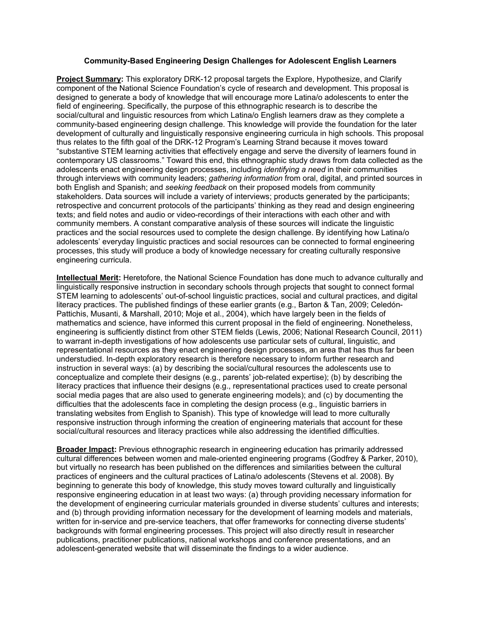## **Community-Based Engineering Design Challenges for Adolescent English Learners**

**Project Summary:** This exploratory DRK-12 proposal targets the Explore, Hypothesize, and Clarify component of the National Science Foundation's cycle of research and development. This proposal is designed to generate a body of knowledge that will encourage more Latina/o adolescents to enter the field of engineering. Specifically, the purpose of this ethnographic research is to describe the social/cultural and linguistic resources from which Latina/o English learners draw as they complete a community-based engineering design challenge. This knowledge will provide the foundation for the later development of culturally and linguistically responsive engineering curricula in high schools. This proposal thus relates to the fifth goal of the DRK-12 Program's Learning Strand because it moves toward "substantive STEM learning activities that effectively engage and serve the diversity of learners found in contemporary US classrooms." Toward this end, this ethnographic study draws from data collected as the adolescents enact engineering design processes, including *identifying a need* in their communities through interviews with community leaders; *gathering information* from oral, digital, and printed sources in both English and Spanish; and *seeking feedback* on their proposed models from community stakeholders. Data sources will include a variety of interviews; products generated by the participants; retrospective and concurrent protocols of the participants' thinking as they read and design engineering texts; and field notes and audio or video-recordings of their interactions with each other and with community members. A constant comparative analysis of these sources will indicate the linguistic practices and the social resources used to complete the design challenge. By identifying how Latina/o adolescents' everyday linguistic practices and social resources can be connected to formal engineering processes, this study will produce a body of knowledge necessary for creating culturally responsive engineering curricula.

**Intellectual Merit:** Heretofore, the National Science Foundation has done much to advance culturally and linguistically responsive instruction in secondary schools through projects that sought to connect formal STEM learning to adolescents' out-of-school linguistic practices, social and cultural practices, and digital literacy practices. The published findings of these earlier grants (e.g., Barton & Tan, 2009; Celedón-Pattichis, Musanti, & Marshall, 2010; Moje et al., 2004), which have largely been in the fields of mathematics and science, have informed this current proposal in the field of engineering. Nonetheless, engineering is sufficiently distinct from other STEM fields (Lewis, 2006; National Research Council, 2011) to warrant in-depth investigations of how adolescents use particular sets of cultural, linguistic, and representational resources as they enact engineering design processes, an area that has thus far been understudied. In-depth exploratory research is therefore necessary to inform further research and instruction in several ways: (a) by describing the social/cultural resources the adolescents use to conceptualize and complete their designs (e.g., parents' job-related expertise); (b) by describing the literacy practices that influence their designs (e.g., representational practices used to create personal social media pages that are also used to generate engineering models); and (c) by documenting the difficulties that the adolescents face in completing the design process (e.g., linguistic barriers in translating websites from English to Spanish). This type of knowledge will lead to more culturally responsive instruction through informing the creation of engineering materials that account for these social/cultural resources and literacy practices while also addressing the identified difficulties.

**Broader Impact:** Previous ethnographic research in engineering education has primarily addressed cultural differences between women and male-oriented engineering programs (Godfrey & Parker, 2010), but virtually no research has been published on the differences and similarities between the cultural practices of engineers and the cultural practices of Latina/o adolescents (Stevens et al. 2008). By beginning to generate this body of knowledge, this study moves toward culturally and linguistically responsive engineering education in at least two ways: (a) through providing necessary information for the development of engineering curricular materials grounded in diverse students' cultures and interests; and (b) through providing information necessary for the development of learning models and materials, written for in-service and pre-service teachers, that offer frameworks for connecting diverse students' backgrounds with formal engineering processes. This project will also directly result in researcher publications, practitioner publications, national workshops and conference presentations, and an adolescent-generated website that will disseminate the findings to a wider audience.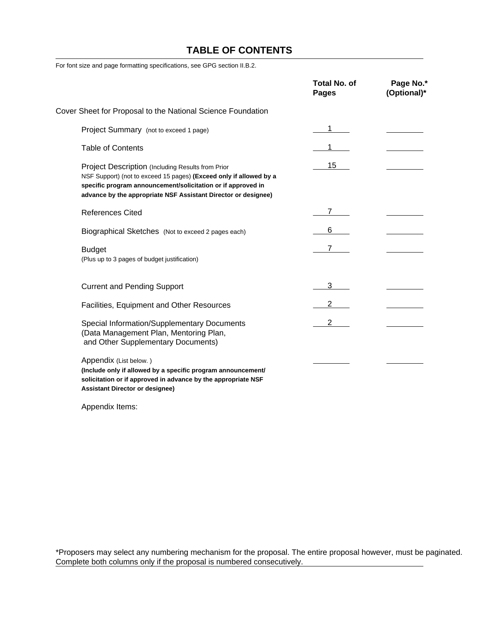# **TABLE OF CONTENTS**

For font size and page formatting specifications, see GPG section II.B.2.

|                                                                                                                                                                                                                                                           | Total No. of<br><b>Pages</b> | Page No.*<br>(Optional)* |
|-----------------------------------------------------------------------------------------------------------------------------------------------------------------------------------------------------------------------------------------------------------|------------------------------|--------------------------|
| Cover Sheet for Proposal to the National Science Foundation                                                                                                                                                                                               |                              |                          |
| Project Summary (not to exceed 1 page)                                                                                                                                                                                                                    |                              |                          |
| <b>Table of Contents</b>                                                                                                                                                                                                                                  |                              |                          |
| Project Description (Including Results from Prior<br>NSF Support) (not to exceed 15 pages) (Exceed only if allowed by a<br>specific program announcement/solicitation or if approved in<br>advance by the appropriate NSF Assistant Director or designee) | 15                           |                          |
| <b>References Cited</b>                                                                                                                                                                                                                                   |                              |                          |
| Biographical Sketches (Not to exceed 2 pages each)                                                                                                                                                                                                        |                              |                          |
| <b>Budget</b><br>(Plus up to 3 pages of budget justification)                                                                                                                                                                                             |                              |                          |
| <b>Current and Pending Support</b>                                                                                                                                                                                                                        | 3                            |                          |
| Facilities, Equipment and Other Resources                                                                                                                                                                                                                 | $\overline{2}$               |                          |
| Special Information/Supplementary Documents<br>(Data Management Plan, Mentoring Plan,<br>and Other Supplementary Documents)                                                                                                                               |                              |                          |
| Appendix (List below.)<br>(Include only if allowed by a specific program announcement/<br>solicitation or if approved in advance by the appropriate NSF<br><b>Assistant Director or designee)</b>                                                         |                              |                          |

Appendix Items:

\*Proposers may select any numbering mechanism for the proposal. The entire proposal however, must be paginated. Complete both columns only if the proposal is numbered consecutively.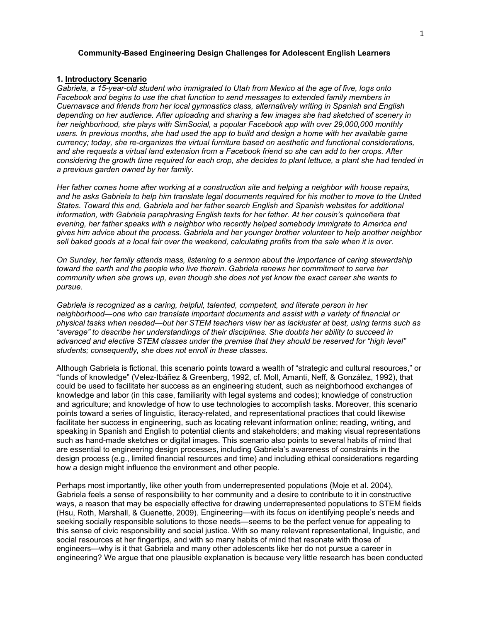#### **Community-Based Engineering Design Challenges for Adolescent English Learners**

#### **1. Introductory Scenario**

*Gabriela, a 15-year-old student who immigrated to Utah from Mexico at the age of five, logs onto Facebook and begins to use the chat function to send messages to extended family members in Cuernavaca and friends from her local gymnastics class, alternatively writing in Spanish and English depending on her audience. After uploading and sharing a few images she had sketched of scenery in her neighborhood, she plays with SimSocial, a popular Facebook app with over 29,000,000 monthly users. In previous months, she had used the app to build and design a home with her available game currency; today, she re-organizes the virtual furniture based on aesthetic and functional considerations, and she requests a virtual land extension from a Facebook friend so she can add to her crops. After considering the growth time required for each crop, she decides to plant lettuce, a plant she had tended in a previous garden owned by her family.* 

*Her father comes home after working at a construction site and helping a neighbor with house repairs, and he asks Gabriela to help him translate legal documents required for his mother to move to the United States. Toward this end, Gabriela and her father search English and Spanish websites for additional information, with Gabriela paraphrasing English texts for her father. At her cousin's quinceñera that evening, her father speaks with a neighbor who recently helped somebody immigrate to America and gives him advice about the process. Gabriela and her younger brother volunteer to help another neighbor sell baked goods at a local fair over the weekend, calculating profits from the sale when it is over.* 

*On Sunday, her family attends mass, listening to a sermon about the importance of caring stewardship toward the earth and the people who live therein. Gabriela renews her commitment to serve her community when she grows up, even though she does not yet know the exact career she wants to pursue.* 

*Gabriela is recognized as a caring, helpful, talented, competent, and literate person in her neighborhood—one who can translate important documents and assist with a variety of financial or physical tasks when needed—but her STEM teachers view her as lackluster at best, using terms such as "average" to describe her understandings of their disciplines. She doubts her ability to succeed in advanced and elective STEM classes under the premise that they should be reserved for "high level" students; consequently, she does not enroll in these classes.* 

Although Gabriela is fictional, this scenario points toward a wealth of "strategic and cultural resources," or "funds of knowledge" (Velez-Ibáñez & Greenberg, 1992, cf. Moll, Amanti, Neff, & González, 1992), that could be used to facilitate her success as an engineering student, such as neighborhood exchanges of knowledge and labor (in this case, familiarity with legal systems and codes); knowledge of construction and agriculture; and knowledge of how to use technologies to accomplish tasks. Moreover, this scenario points toward a series of linguistic, literacy-related, and representational practices that could likewise facilitate her success in engineering, such as locating relevant information online; reading, writing, and speaking in Spanish and English to potential clients and stakeholders; and making visual representations such as hand-made sketches or digital images. This scenario also points to several habits of mind that are essential to engineering design processes, including Gabriela's awareness of constraints in the design process (e.g., limited financial resources and time) and including ethical considerations regarding how a design might influence the environment and other people.

Perhaps most importantly, like other youth from underrepresented populations (Moje et al. 2004), Gabriela feels a sense of responsibility to her community and a desire to contribute to it in constructive ways, a reason that may be especially effective for drawing underrepresented populations to STEM fields (Hsu, Roth, Marshall, & Guenette, 2009). Engineering—with its focus on identifying people's needs and seeking socially responsible solutions to those needs—seems to be the perfect venue for appealing to this sense of civic responsibility and social justice. With so many relevant representational, linguistic, and social resources at her fingertips, and with so many habits of mind that resonate with those of engineers—why is it that Gabriela and many other adolescents like her do not pursue a career in engineering? We argue that one plausible explanation is because very little research has been conducted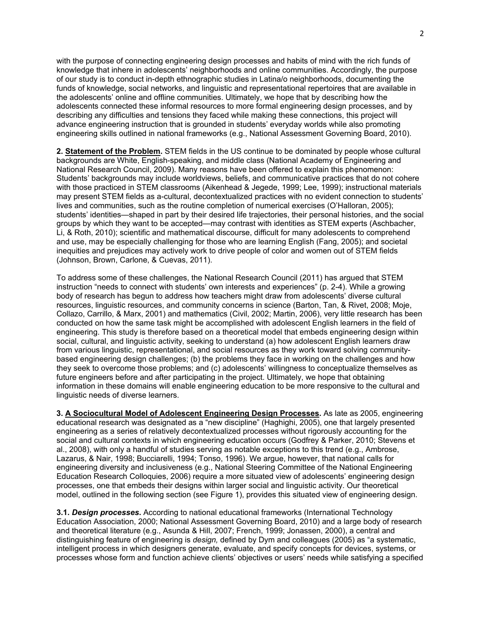with the purpose of connecting engineering design processes and habits of mind with the rich funds of knowledge that inhere in adolescents' neighborhoods and online communities. Accordingly, the purpose of our study is to conduct in-depth ethnographic studies in Latina/o neighborhoods, documenting the funds of knowledge, social networks, and linguistic and representational repertoires that are available in the adolescents' online and offline communities. Ultimately, we hope that by describing how the adolescents connected these informal resources to more formal engineering design processes, and by describing any difficulties and tensions they faced while making these connections, this project will advance engineering instruction that is grounded in students' everyday worlds while also promoting engineering skills outlined in national frameworks (e.g., National Assessment Governing Board, 2010).

**2. Statement of the Problem.** STEM fields in the US continue to be dominated by people whose cultural backgrounds are White, English-speaking, and middle class (National Academy of Engineering and National Research Council, 2009). Many reasons have been offered to explain this phenomenon: Students' backgrounds may include worldviews, beliefs, and communicative practices that do not cohere with those practiced in STEM classrooms (Aikenhead & Jegede, 1999; Lee, 1999); instructional materials may present STEM fields as a-cultural, decontextualized practices with no evident connection to students' lives and communities, such as the routine completion of numerical exercises (O'Halloran, 2005); students' identities—shaped in part by their desired life trajectories, their personal histories, and the social groups by which they want to be accepted—may contrast with identities as STEM experts (Aschbacher, Li, & Roth, 2010); scientific and mathematical discourse, difficult for many adolescents to comprehend and use, may be especially challenging for those who are learning English (Fang, 2005); and societal inequities and prejudices may actively work to drive people of color and women out of STEM fields (Johnson, Brown, Carlone, & Cuevas, 2011).

To address some of these challenges, the National Research Council (2011) has argued that STEM instruction "needs to connect with students' own interests and experiences" (p. 2-4). While a growing body of research has begun to address how teachers might draw from adolescents' diverse cultural resources, linguistic resources, and community concerns in science (Barton, Tan, & Rivet, 2008; Moje, Collazo, Carrillo, & Marx, 2001) and mathematics (Civil, 2002; Martin, 2006), very little research has been conducted on how the same task might be accomplished with adolescent English learners in the field of engineering. This study is therefore based on a theoretical model that embeds engineering design within social, cultural, and linguistic activity, seeking to understand (a) how adolescent English learners draw from various linguistic, representational, and social resources as they work toward solving communitybased engineering design challenges; (b) the problems they face in working on the challenges and how they seek to overcome those problems; and (c) adolescents' willingness to conceptualize themselves as future engineers before and after participating in the project. Ultimately, we hope that obtaining information in these domains will enable engineering education to be more responsive to the cultural and linguistic needs of diverse learners.

**3. A Sociocultural Model of Adolescent Engineering Design Processes.** As late as 2005, engineering educational research was designated as a "new discipline" (Haghighi, 2005), one that largely presented engineering as a series of relatively decontextualized processes without rigorously accounting for the social and cultural contexts in which engineering education occurs (Godfrey & Parker, 2010; Stevens et al., 2008), with only a handful of studies serving as notable exceptions to this trend (e.g., Ambrose, Lazarus, & Nair, 1998; Bucciarelli, 1994; Tonso, 1996). We argue, however, that national calls for engineering diversity and inclusiveness (e.g., National Steering Committee of the National Engineering Education Research Colloquies, 2006) require a more situated view of adolescents' engineering design processes, one that embeds their designs within larger social and linguistic activity. Our theoretical model, outlined in the following section (see Figure 1), provides this situated view of engineering design.

**3.1.** *Design processes***.** According to national educational frameworks (International Technology Education Association, 2000; National Assessment Governing Board, 2010) and a large body of research and theoretical literature (e.g., Asunda & Hill, 2007; French, 1999; Jonassen, 2000), a central and distinguishing feature of engineering is *design,* defined by Dym and colleagues (2005) as "a systematic, intelligent process in which designers generate, evaluate, and specify concepts for devices, systems, or processes whose form and function achieve clients' objectives or users' needs while satisfying a specified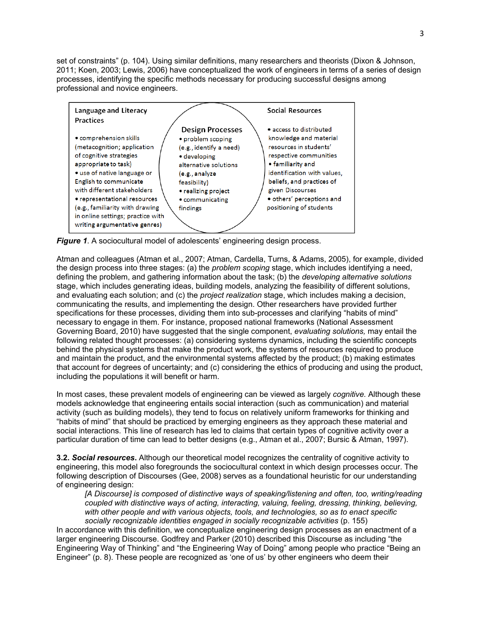set of constraints" (p. 104). Using similar definitions, many researchers and theorists (Dixon & Johnson, 2011; Koen, 2003; Lewis, 2006) have conceptualized the work of engineers in terms of a series of design processes, identifying the specific methods necessary for producing successful designs among professional and novice engineers.



*Figure 1*. A sociocultural model of adolescents' engineering design process.

Atman and colleagues (Atman et al., 2007; Atman, Cardella, Turns, & Adams, 2005), for example, divided the design process into three stages: (a) the *problem scoping* stage, which includes identifying a need, defining the problem, and gathering information about the task; (b) the *developing alternative solutions* stage, which includes generating ideas, building models, analyzing the feasibility of different solutions, and evaluating each solution; and (c) the *project realization* stage, which includes making a decision, communicating the results, and implementing the design. Other researchers have provided further specifications for these processes, dividing them into sub-processes and clarifying "habits of mind" necessary to engage in them. For instance, proposed national frameworks (National Assessment Governing Board, 2010) have suggested that the single component, *evaluating solutions,* may entail the following related thought processes: (a) considering systems dynamics, including the scientific concepts behind the physical systems that make the product work, the systems of resources required to produce and maintain the product, and the environmental systems affected by the product; (b) making estimates that account for degrees of uncertainty; and (c) considering the ethics of producing and using the product, including the populations it will benefit or harm.

In most cases, these prevalent models of engineering can be viewed as largely *cognitive.* Although these models acknowledge that engineering entails social interaction (such as communication) and material activity (such as building models), they tend to focus on relatively uniform frameworks for thinking and "habits of mind" that should be practiced by emerging engineers as they approach these material and social interactions. This line of research has led to claims that certain types of cognitive activity over a particular duration of time can lead to better designs (e.g., Atman et al., 2007; Bursic & Atman, 1997).

**3.2.** *Social resources***.** Although our theoretical model recognizes the centrality of cognitive activity to engineering, this model also foregrounds the sociocultural context in which design processes occur. The following description of Discourses (Gee, 2008) serves as a foundational heuristic for our understanding of engineering design:

*[A Discourse] is composed of distinctive ways of speaking/listening and often, too, writing/reading coupled with distinctive ways of acting, interacting, valuing, feeling, dressing, thinking, believing, with other people and with various objects, tools, and technologies, so as to enact specific socially recognizable identities engaged in socially recognizable activities* (p. 155)

In accordance with this definition, we conceptualize engineering design processes as an enactment of a larger engineering Discourse. Godfrey and Parker (2010) described this Discourse as including "the Engineering Way of Thinking" and "the Engineering Way of Doing" among people who practice "Being an Engineer" (p. 8). These people are recognized as 'one of us' by other engineers who deem their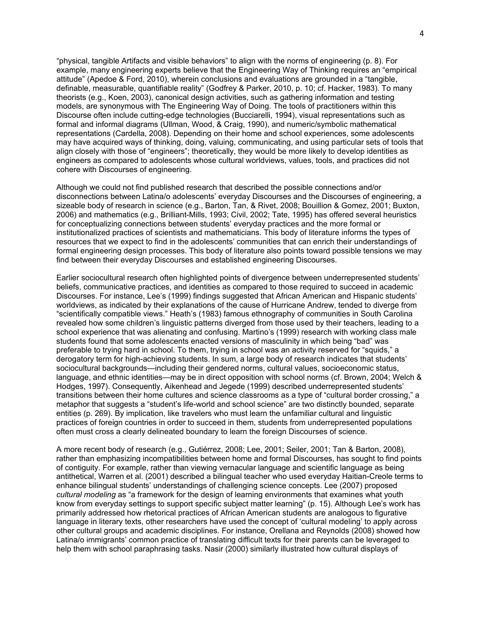"physical, tangible Artifacts and visible behaviors" to align with the norms of engineering (p. 8). For example, many engineering experts believe that the Engineering Way of Thinking requires an "empirical attitude" (Apedoe & Ford, 2010), wherein conclusions and evaluations are grounded in a "tangible, definable, measurable, quantifiable reality" (Godfrey & Parker, 2010, p. 10; cf. Hacker, 1983). To many theorists (e.g., Koen, 2003), canonical design activities, such as gathering information and testing models, are synonymous with The Engineering Way of Doing. The tools of practitioners within this Discourse often include cutting-edge technologies (Bucciarelli, 1994), visual representations such as formal and informal diagrams (Ullman, Wood, & Craig, 1990), and numeric/symbolic mathematical representations (Cardella, 2008). Depending on their home and school experiences, some adolescents may have acquired ways of thinking, doing, valuing, communicating, and using particular sets of tools that align closely with those of "engineers"; theoretically, they would be more likely to develop identities as engineers as compared to adolescents whose cultural worldviews, values, tools, and practices did not cohere with Discourses of engineering.

Although we could not find published research that described the possible connections and/or disconnections between Latina/o adolescents' everyday Discourses and the Discourses of engineering, a sizeable body of research in science (e.g., Barton, Tan, & Rivet, 2008; Bouillion & Gomez, 2001; Buxton, 2006) and mathematics (e.g., Brilliant-Mills, 1993; Civil, 2002; Tate, 1995) has offered several heuristics for conceptualizing connections between students' everyday practices and the more formal or institutionalized practices of scientists and mathematicians. This body of literature informs the types of resources that we expect to find in the adolescents' communities that can enrich their understandings of formal engineering design processes. This body of literature also points toward possible tensions we may find between their everyday Discourses and established engineering Discourses.

Earlier sociocultural research often highlighted points of divergence between underrepresented students' beliefs, communicative practices, and identities as compared to those required to succeed in academic Discourses. For instance, Lee's (1999) findings suggested that African American and Hispanic students' worldviews, as indicated by their explanations of the cause of Hurricane Andrew, tended to diverge from "scientifically compatible views." Heath's (1983) famous ethnography of communities in South Carolina revealed how some children's linguistic patterns diverged from those used by their teachers, leading to a school experience that was alienating and confusing. Martino's (1999) research with working class male students found that some adolescents enacted versions of masculinity in which being "bad" was preferable to trying hard in school. To them, trying in school was an activity reserved for "squids," a derogatory term for high-achieving students. In sum, a large body of research indicates that students' sociocultural backgrounds—including their gendered norms, cultural values, socioeconomic status, language, and ethnic identities—may be in direct opposition with school norms (cf. Brown, 2004; Welch & Hodges, 1997). Consequently, Aikenhead and Jegede (1999) described underrepresented students' transitions between their home cultures and science classrooms as a type of "cultural border crossing," a metaphor that suggests a "student's life-world and school science" are two distinctly bounded, separate entities (p. 269). By implication, like travelers who must learn the unfamiliar cultural and linguistic practices of foreign countries in order to succeed in them, students from underrepresented populations often must cross a clearly delineated boundary to learn the foreign Discourses of science.

A more recent body of research (e.g., Gutiérrez, 2008; Lee, 2001; Seiler, 2001; Tan & Barton, 2008), rather than emphasizing incompatibilities between home and formal Discourses, has sought to find points of contiguity. For example, rather than viewing vernacular language and scientific language as being antithetical, Warren et al. (2001) described a bilingual teacher who used everyday Haitian-Creole terms to enhance bilingual students' understandings of challenging science concepts. Lee (2007) proposed *cultural modeling* as "a framework for the design of learning environments that examines what youth know from everyday settings to support specific subject matter learning" (p. 15). Although Lee's work has primarily addressed how rhetorical practices of African American students are analogous to figurative language in literary texts, other researchers have used the concept of 'cultural modeling' to apply across other cultural groups and academic disciplines. For instance, Orellana and Reynolds (2008) showed how Latina/o immigrants' common practice of translating difficult texts for their parents can be leveraged to help them with school paraphrasing tasks. Nasir (2000) similarly illustrated how cultural displays of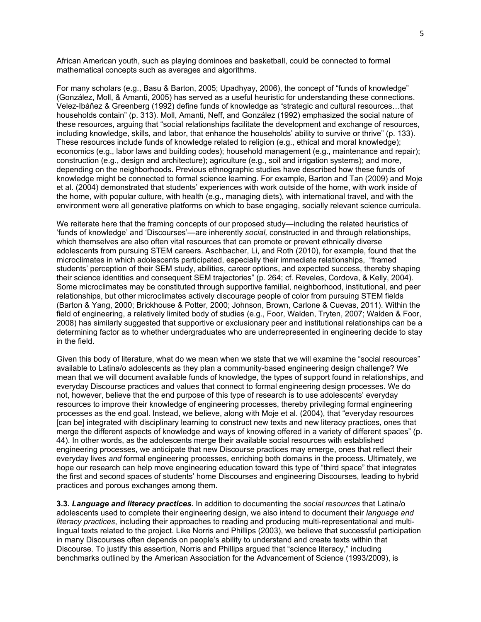African American youth, such as playing dominoes and basketball, could be connected to formal mathematical concepts such as averages and algorithms.

For many scholars (e.g., Basu & Barton, 2005; Upadhyay, 2006), the concept of "funds of knowledge" (González, Moll, & Amanti, 2005) has served as a useful heuristic for understanding these connections. Velez-Ibáñez & Greenberg (1992) define funds of knowledge as "strategic and cultural resources…that households contain" (p. 313). Moll, Amanti, Neff, and González (1992) emphasized the social nature of these resources, arguing that "social relationships facilitate the development and exchange of resources, including knowledge, skills, and labor, that enhance the households' ability to survive or thrive" (p. 133). These resources include funds of knowledge related to religion (e.g., ethical and moral knowledge); economics (e.g., labor laws and building codes); household management (e.g., maintenance and repair); construction (e.g., design and architecture); agriculture (e.g., soil and irrigation systems); and more, depending on the neighborhoods. Previous ethnographic studies have described how these funds of knowledge might be connected to formal science learning. For example, Barton and Tan (2009) and Moje et al. (2004) demonstrated that students' experiences with work outside of the home, with work inside of the home, with popular culture, with health (e.g., managing diets), with international travel, and with the environment were all generative platforms on which to base engaging, socially relevant science curricula.

We reiterate here that the framing concepts of our proposed study—including the related heuristics of 'funds of knowledge' and 'Discourses'—are inherently *social,* constructed in and through relationships, which themselves are also often vital resources that can promote or prevent ethnically diverse adolescents from pursuing STEM careers. Aschbacher, Li, and Roth (2010), for example, found that the microclimates in which adolescents participated, especially their immediate relationships, "framed students' perception of their SEM study, abilities, career options, and expected success, thereby shaping their science identities and consequent SEM trajectories" (p. 264; cf. Reveles, Cordova, & Kelly, 2004). Some microclimates may be constituted through supportive familial, neighborhood, institutional, and peer relationships, but other microclimates actively discourage people of color from pursuing STEM fields (Barton & Yang, 2000; Brickhouse & Potter, 2000; Johnson, Brown, Carlone & Cuevas, 2011). Within the field of engineering, a relatively limited body of studies (e.g., Foor, Walden, Tryten, 2007; Walden & Foor, 2008) has similarly suggested that supportive or exclusionary peer and institutional relationships can be a determining factor as to whether undergraduates who are underrepresented in engineering decide to stay in the field.

Given this body of literature, what do we mean when we state that we will examine the "social resources" available to Latina/o adolescents as they plan a community-based engineering design challenge? We mean that we will document available funds of knowledge, the types of support found in relationships, and everyday Discourse practices and values that connect to formal engineering design processes. We do not, however, believe that the end purpose of this type of research is to use adolescents' everyday resources to improve their knowledge of engineering processes, thereby privileging formal engineering processes as the end goal. Instead, we believe, along with Moje et al. (2004), that "everyday resources [can be] integrated with disciplinary learning to construct new texts and new literacy practices, ones that merge the different aspects of knowledge and ways of knowing offered in a variety of different spaces" (p. 44). In other words, as the adolescents merge their available social resources with established engineering processes, we anticipate that new Discourse practices may emerge, ones that reflect their everyday lives *and* formal engineering processes, enriching both domains in the process. Ultimately, we hope our research can help move engineering education toward this type of "third space" that integrates the first and second spaces of students' home Discourses and engineering Discourses, leading to hybrid practices and porous exchanges among them.

**3.3.** *Language and literacy practices***.** In addition to documenting the *social resources* that Latina/o adolescents used to complete their engineering design, we also intend to document their *language and literacy practices*, including their approaches to reading and producing multi-representational and multilingual texts related to the project. Like Norris and Phillips (2003), we believe that successful participation in many Discourses often depends on people's ability to understand and create texts within that Discourse. To justify this assertion, Norris and Phillips argued that "science literacy," including benchmarks outlined by the American Association for the Advancement of Science (1993/2009), is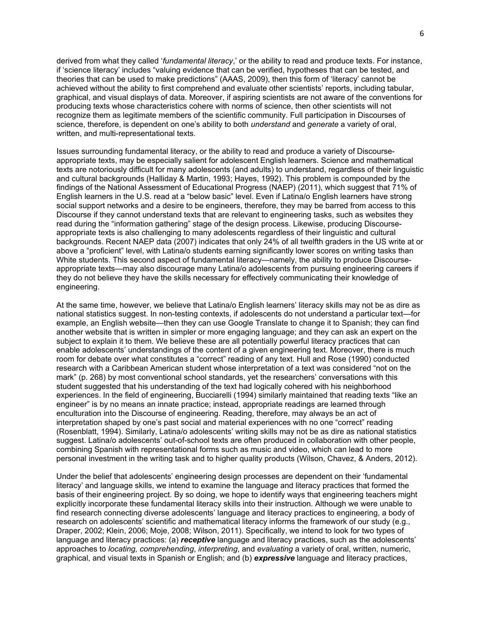derived from what they called '*fundamental literacy*,' or the ability to read and produce texts. For instance, if 'science literacy' includes "valuing evidence that can be verified, hypotheses that can be tested, and theories that can be used to make predictions" (AAAS, 2009), then this form of 'literacy' cannot be achieved without the ability to first comprehend and evaluate other scientists' reports, including tabular, graphical, and visual displays of data. Moreover, if aspiring scientists are not aware of the conventions for producing texts whose characteristics cohere with norms of science, then other scientists will not recognize them as legitimate members of the scientific community. Full participation in Discourses of science, therefore, is dependent on one's ability to both *understand* and *generate* a variety of oral, written, and multi-representational texts.

Issues surrounding fundamental literacy, or the ability to read and produce a variety of Discourseappropriate texts, may be especially salient for adolescent English learners. Science and mathematical texts are notoriously difficult for many adolescents (and adults) to understand, regardless of their linguistic and cultural backgrounds (Halliday & Martin, 1993; Hayes, 1992). This problem is compounded by the findings of the National Assessment of Educational Progress (NAEP) (2011), which suggest that 71% of English learners in the U.S. read at a "below basic" level. Even if Latina/o English learners have strong social support networks and a desire to be engineers, therefore, they may be barred from access to this Discourse if they cannot understand texts that are relevant to engineering tasks, such as websites they read during the "information gathering" stage of the design process. Likewise, producing Discourseappropriate texts is also challenging to many adolescents regardless of their linguistic and cultural backgrounds. Recent NAEP data (2007) indicates that only 24% of all twelfth graders in the US write at or above a "proficient" level, with Latina/o students earning significantly lower scores on writing tasks than White students. This second aspect of fundamental literacy—namely, the ability to produce Discourseappropriate texts—may also discourage many Latina/o adolescents from pursuing engineering careers if they do not believe they have the skills necessary for effectively communicating their knowledge of engineering.

At the same time, however, we believe that Latina/o English learners' literacy skills may not be as dire as national statistics suggest. In non-testing contexts, if adolescents do not understand a particular text—for example, an English website—then they can use Google Translate to change it to Spanish; they can find another website that is written in simpler or more engaging language; and they can ask an expert on the subject to explain it to them. We believe these are all potentially powerful literacy practices that can enable adolescents' understandings of the content of a given engineering text. Moreover, there is much room for debate over what constitutes a "correct" reading of any text. Hull and Rose (1990) conducted research with a Caribbean American student whose interpretation of a text was considered "not on the mark" (p. 268) by most conventional school standards, yet the researchers' conversations with this student suggested that his understanding of the text had logically cohered with his neighborhood experiences. In the field of engineering, Bucciarelli (1994) similarly maintained that reading texts "like an engineer" is by no means an innate practice; instead, appropriate readings are learned through enculturation into the Discourse of engineering. Reading, therefore, may always be an act of interpretation shaped by one's past social and material experiences with no one "correct" reading (Rosenblatt, 1994). Similarly, Latina/o adolescents' writing skills may not be as dire as national statistics suggest. Latina/o adolescents' out-of-school texts are often produced in collaboration with other people, combining Spanish with representational forms such as music and video, which can lead to more personal investment in the writing task and to higher quality products (Wilson, Chavez, & Anders, 2012).

Under the belief that adolescents' engineering design processes are dependent on their 'fundamental literacy' and language skills, we intend to examine the language and literacy practices that formed the basis of their engineering project. By so doing, we hope to identify ways that engineering teachers might explicitly incorporate these fundamental literacy skills into their instruction. Although we were unable to find research connecting diverse adolescents' language and literacy practices to engineering, a body of research on adolescents' scientific and mathematical literacy informs the framework of our study (e.g., Draper, 2002; Klein, 2006; Moje, 2008; Wilson, 2011). Specifically, we intend to look for two types of language and literacy practices: (a) *receptive* language and literacy practices, such as the adolescents' approaches to *locating, comprehending*, *interpreting*, and *evaluating* a variety of oral, written, numeric, graphical, and visual texts in Spanish or English; and (b) *expressive* language and literacy practices,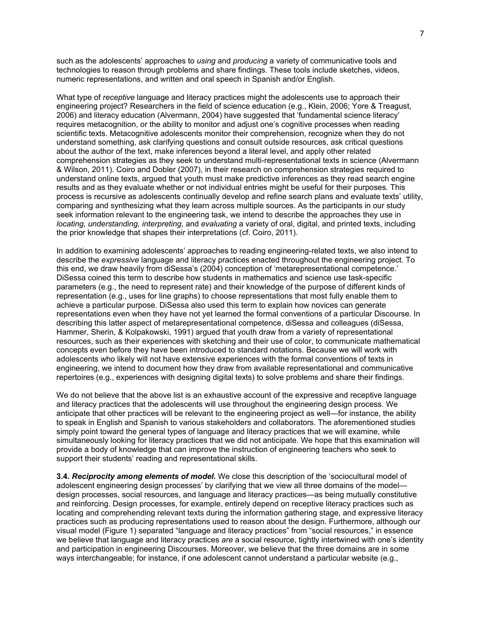such as the adolescents' approaches to *using* and *producing* a variety of communicative tools and technologies to reason through problems and share findings. These tools include sketches, videos, numeric representations, and written and oral speech in Spanish and/or English.

What type of *receptive* language and literacy practices might the adolescents use to approach their engineering project? Researchers in the field of science education (e.g., Klein, 2006; Yore & Treagust, 2006) and literacy education (Alvermann, 2004) have suggested that 'fundamental science literacy' requires metacognition, or the ability to monitor and adjust one's cognitive processes when reading scientific texts. Metacognitive adolescents monitor their comprehension, recognize when they do not understand something, ask clarifying questions and consult outside resources, ask critical questions about the author of the text, make inferences beyond a literal level, and apply other related comprehension strategies as they seek to understand multi-representational texts in science (Alvermann & Wilson, 2011). Coiro and Dobler (2007), in their research on comprehension strategies required to understand online texts, argued that youth must make predictive inferences as they read search engine results and as they evaluate whether or not individual entries might be useful for their purposes. This process is recursive as adolescents continually develop and refine search plans and evaluate texts' utility, comparing and synthesizing what they learn across multiple sources. As the participants in our study seek information relevant to the engineering task, we intend to describe the approaches they use in *locating, understanding, interpreting,* and *evaluating* a variety of oral, digital, and printed texts, including the prior knowledge that shapes their interpretations (cf. Coiro, 2011).

In addition to examining adolescents' approaches to reading engineering-related texts, we also intend to describe the *expressive* language and literacy practices enacted throughout the engineering project. To this end, we draw heavily from diSessa's (2004) conception of 'metarepresentational competence.' DiSessa coined this term to describe how students in mathematics and science use task-specific parameters (e.g., the need to represent rate) and their knowledge of the purpose of different kinds of representation (e.g., uses for line graphs) to choose representations that most fully enable them to achieve a particular purpose. DiSessa also used this term to explain how novices can generate representations even when they have not yet learned the formal conventions of a particular Discourse. In describing this latter aspect of metarepresentational competence, diSessa and colleagues (diSessa, Hammer, Sherin, & Kolpakowski, 1991) argued that youth draw from a variety of representational resources, such as their experiences with sketching and their use of color, to communicate mathematical concepts even before they have been introduced to standard notations. Because we will work with adolescents who likely will not have extensive experiences with the formal conventions of texts in engineering, we intend to document how they draw from available representational and communicative repertoires (e.g., experiences with designing digital texts) to solve problems and share their findings.

We do not believe that the above list is an exhaustive account of the expressive and receptive language and literacy practices that the adolescents will use throughout the engineering design process. We anticipate that other practices will be relevant to the engineering project as well—for instance, the ability to speak in English and Spanish to various stakeholders and collaborators. The aforementioned studies simply point toward the general types of language and literacy practices that we will examine, while simultaneously looking for literacy practices that we did not anticipate. We hope that this examination will provide a body of knowledge that can improve the instruction of engineering teachers who seek to support their students' reading and representational skills.

**3.4.** *Reciprocity among elements of model.* We close this description of the 'sociocultural model of adolescent engineering design processes' by clarifying that we view all three domains of the model design processes, social resources, and language and literacy practices—as being mutually constitutive and reinforcing. Design processes, for example, entirely depend on receptive literacy practices such as locating and comprehending relevant texts during the information gathering stage, and expressive literacy practices such as producing representations used to reason about the design. Furthermore, although our visual model (Figure 1) separated "language and literacy practices" from "social resources," in essence we believe that language and literacy practices *are* a social resource, tightly intertwined with one's identity and participation in engineering Discourses. Moreover, we believe that the three domains are in some ways interchangeable; for instance, if one adolescent cannot understand a particular website (e.g.,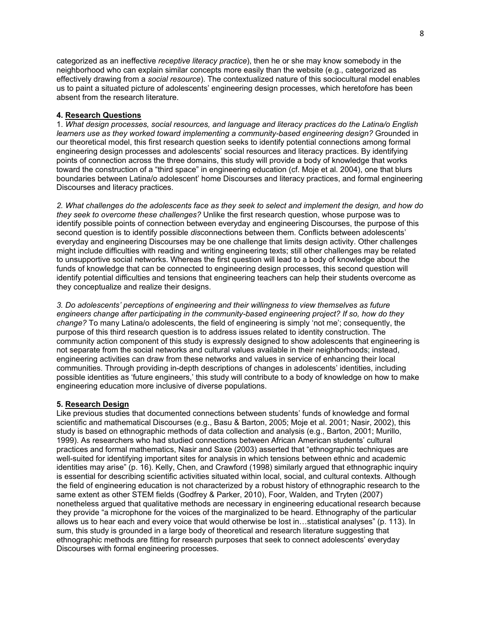categorized as an ineffective *receptive literacy practice*), then he or she may know somebody in the neighborhood who can explain similar concepts more easily than the website (e.g., categorized as effectively drawing from a *social resource*). The contextualized nature of this sociocultural model enables us to paint a situated picture of adolescents' engineering design processes, which heretofore has been absent from the research literature.

## **4. Research Questions**

1. *What design processes, social resources, and language and literacy practices do the Latina/o English learners use as they worked toward implementing a community-based engineering design?* Grounded in our theoretical model, this first research question seeks to identify potential connections among formal engineering design processes and adolescents' social resources and literacy practices. By identifying points of connection across the three domains, this study will provide a body of knowledge that works toward the construction of a "third space" in engineering education (cf. Moje et al. 2004), one that blurs boundaries between Latina/o adolescent' home Discourses and literacy practices, and formal engineering Discourses and literacy practices.

*2. What challenges do the adolescents face as they seek to select and implement the design, and how do they seek to overcome these challenges?* Unlike the first research question, whose purpose was to identify possible points of connection between everyday and engineering Discourses, the purpose of this second question is to identify possible *dis*connections between them. Conflicts between adolescents' everyday and engineering Discourses may be one challenge that limits design activity. Other challenges might include difficulties with reading and writing engineering texts; still other challenges may be related to unsupportive social networks. Whereas the first question will lead to a body of knowledge about the funds of knowledge that can be connected to engineering design processes, this second question will identify potential difficulties and tensions that engineering teachers can help their students overcome as they conceptualize and realize their designs.

*3. Do adolescents' perceptions of engineering and their willingness to view themselves as future engineers change after participating in the community-based engineering project? If so, how do they change?* To many Latina/o adolescents, the field of engineering is simply 'not me'; consequently, the purpose of this third research question is to address issues related to identity construction. The community action component of this study is expressly designed to show adolescents that engineering is not separate from the social networks and cultural values available in their neighborhoods; instead, engineering activities can draw from these networks and values in service of enhancing their local communities. Through providing in-depth descriptions of changes in adolescents' identities, including possible identities as 'future engineers,' this study will contribute to a body of knowledge on how to make engineering education more inclusive of diverse populations.

## **5. Research Design**

Like previous studies that documented connections between students' funds of knowledge and formal scientific and mathematical Discourses (e.g., Basu & Barton, 2005; Moje et al. 2001; Nasir, 2002), this study is based on ethnographic methods of data collection and analysis (e.g., Barton, 2001; Murillo, 1999). As researchers who had studied connections between African American students' cultural practices and formal mathematics, Nasir and Saxe (2003) asserted that "ethnographic techniques are well-suited for identifying important sites for analysis in which tensions between ethnic and academic identities may arise" (p. 16). Kelly, Chen, and Crawford (1998) similarly argued that ethnographic inquiry is essential for describing scientific activities situated within local, social, and cultural contexts. Although the field of engineering education is not characterized by a robust history of ethnographic research to the same extent as other STEM fields (Godfrey & Parker, 2010), Foor, Walden, and Tryten (2007) nonetheless argued that qualitative methods are necessary in engineering educational research because they provide "a microphone for the voices of the marginalized to be heard. Ethnography of the particular allows us to hear each and every voice that would otherwise be lost in…statistical analyses" (p. 113). In sum, this study is grounded in a large body of theoretical and research literature suggesting that ethnographic methods are fitting for research purposes that seek to connect adolescents' everyday Discourses with formal engineering processes.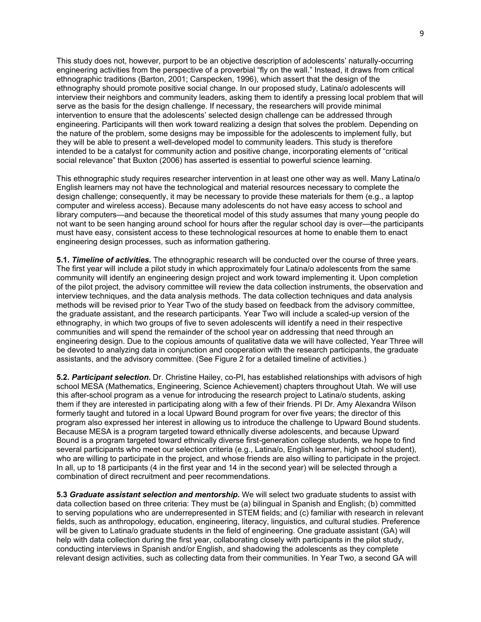This study does not, however, purport to be an objective description of adolescents' naturally-occurring engineering activities from the perspective of a proverbial "fly on the wall." Instead, it draws from critical ethnographic traditions (Barton, 2001; Carspecken, 1996), which assert that the design of the ethnography should promote positive social change. In our proposed study, Latina/o adolescents will interview their neighbors and community leaders, asking them to identify a pressing local problem that will serve as the basis for the design challenge. If necessary, the researchers will provide minimal intervention to ensure that the adolescents' selected design challenge can be addressed through engineering. Participants will then work toward realizing a design that solves the problem. Depending on the nature of the problem, some designs may be impossible for the adolescents to implement fully, but they will be able to present a well-developed model to community leaders. This study is therefore intended to be a catalyst for community action and positive change, incorporating elements of "critical social relevance" that Buxton (2006) has asserted is essential to powerful science learning.

This ethnographic study requires researcher intervention in at least one other way as well. Many Latina/o English learners may not have the technological and material resources necessary to complete the design challenge; consequently, it may be necessary to provide these materials for them (e.g., a laptop computer and wireless access). Because many adolescents do not have easy access to school and library computers—and because the theoretical model of this study assumes that many young people do not want to be seen hanging around school for hours after the regular school day is over—the participants must have easy, consistent access to these technological resources at home to enable them to enact engineering design processes, such as information gathering.

**5.1.** *Timeline of activities***.** The ethnographic research will be conducted over the course of three years. The first year will include a pilot study in which approximately four Latina/o adolescents from the same community will identify an engineering design project and work toward implementing it. Upon completion of the pilot project, the advisory committee will review the data collection instruments, the observation and interview techniques, and the data analysis methods. The data collection techniques and data analysis methods will be revised prior to Year Two of the study based on feedback from the advisory committee, the graduate assistant, and the research participants. Year Two will include a scaled-up version of the ethnography, in which two groups of five to seven adolescents will identify a need in their respective communities and will spend the remainder of the school year on addressing that need through an engineering design. Due to the copious amounts of qualitative data we will have collected, Year Three will be devoted to analyzing data in conjunction and cooperation with the research participants, the graduate assistants, and the advisory committee. (See Figure 2 for a detailed timeline of activities.)

**5.2.** *Participant selection***.** Dr. Christine Hailey, co-PI, has established relationships with advisors of high school MESA (Mathematics, Engineering, Science Achievement) chapters throughout Utah. We will use this after-school program as a venue for introducing the research project to Latina/o students, asking them if they are interested in participating along with a few of their friends. PI Dr. Amy Alexandra Wilson formerly taught and tutored in a local Upward Bound program for over five years; the director of this program also expressed her interest in allowing us to introduce the challenge to Upward Bound students. Because MESA is a program targeted toward ethnically diverse adolescents, and because Upward Bound is a program targeted toward ethnically diverse first-generation college students, we hope to find several participants who meet our selection criteria (e.g., Latina/o, English learner, high school student), who are willing to participate in the project, and whose friends are also willing to participate in the project. In all, up to 18 participants (4 in the first year and 14 in the second year) will be selected through a combination of direct recruitment and peer recommendations.

**5.3** *Graduate assistant selection and mentorship***.** We will select two graduate students to assist with data collection based on three criteria: They must be (a) bilingual in Spanish and English; (b) committed to serving populations who are underrepresented in STEM fields; and (c) familiar with research in relevant fields, such as anthropology, education, engineering, literacy, linguistics, and cultural studies. Preference will be given to Latina/o graduate students in the field of engineering. One graduate assistant (GA) will help with data collection during the first year, collaborating closely with participants in the pilot study, conducting interviews in Spanish and/or English, and shadowing the adolescents as they complete relevant design activities, such as collecting data from their communities. In Year Two, a second GA will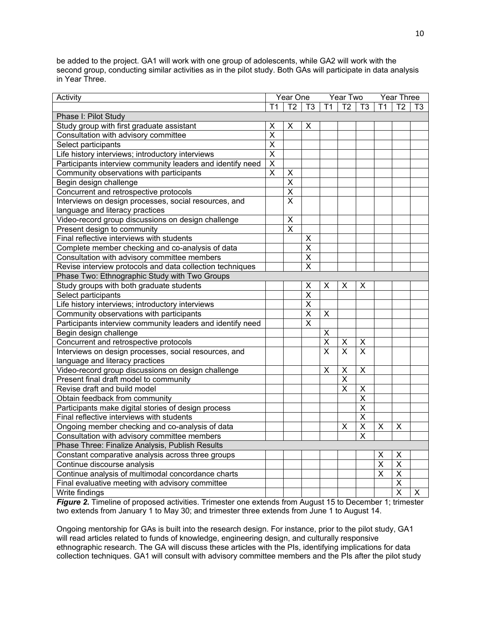be added to the project. GA1 will work with one group of adolescents, while GA2 will work with the second group, conducting similar activities as in the pilot study. Both GAs will participate in data analysis in Year Three.

| Activity                                                   |                         | Year One                |                         | Year Two                |                         | Year Three              |                         |                         |    |
|------------------------------------------------------------|-------------------------|-------------------------|-------------------------|-------------------------|-------------------------|-------------------------|-------------------------|-------------------------|----|
|                                                            | Τ1                      | T2                      | T3                      | Τ1                      | T2                      | T <sub>3</sub>          | Τ1                      | T2                      | T3 |
| Phase I: Pilot Study                                       |                         |                         |                         |                         |                         |                         |                         |                         |    |
| Study group with first graduate assistant                  | X                       | X                       | X                       |                         |                         |                         |                         |                         |    |
| Consultation with advisory committee                       | $\pmb{\mathsf{X}}$      |                         |                         |                         |                         |                         |                         |                         |    |
| Select participants                                        | $\overline{\mathsf{x}}$ |                         |                         |                         |                         |                         |                         |                         |    |
| Life history interviews; introductory interviews           | $\overline{\mathsf{x}}$ |                         |                         |                         |                         |                         |                         |                         |    |
| Participants interview community leaders and identify need | $\overline{\mathsf{X}}$ |                         |                         |                         |                         |                         |                         |                         |    |
| Community observations with participants                   | $\overline{\mathsf{x}}$ | X                       |                         |                         |                         |                         |                         |                         |    |
| Begin design challenge                                     |                         | $\overline{\mathsf{x}}$ |                         |                         |                         |                         |                         |                         |    |
| Concurrent and retrospective protocols                     |                         | $\overline{\mathsf{x}}$ |                         |                         |                         |                         |                         |                         |    |
| Interviews on design processes, social resources, and      |                         | $\overline{\mathsf{x}}$ |                         |                         |                         |                         |                         |                         |    |
| language and literacy practices                            |                         |                         |                         |                         |                         |                         |                         |                         |    |
| Video-record group discussions on design challenge         |                         | $\overline{\mathsf{x}}$ |                         |                         |                         |                         |                         |                         |    |
| Present design to community                                |                         | $\overline{\mathsf{x}}$ |                         |                         |                         |                         |                         |                         |    |
| Final reflective interviews with students                  |                         |                         | $\mathsf X$             |                         |                         |                         |                         |                         |    |
| Complete member checking and co-analysis of data           |                         |                         | $\overline{\mathsf{x}}$ |                         |                         |                         |                         |                         |    |
| Consultation with advisory committee members               |                         |                         | $\overline{\mathsf{X}}$ |                         |                         |                         |                         |                         |    |
| Revise interview protocols and data collection techniques  |                         |                         | $\overline{\mathsf{x}}$ |                         |                         |                         |                         |                         |    |
| Phase Two: Ethnographic Study with Two Groups              |                         |                         |                         |                         |                         |                         |                         |                         |    |
| Study groups with both graduate students                   |                         |                         | X                       | X                       | Х                       | Х                       |                         |                         |    |
| Select participants                                        |                         |                         | $\overline{\mathsf{x}}$ |                         |                         |                         |                         |                         |    |
| Life history interviews; introductory interviews           |                         |                         | $\overline{\mathsf{x}}$ |                         |                         |                         |                         |                         |    |
| Community observations with participants                   |                         |                         | $\overline{\mathsf{x}}$ | X                       |                         |                         |                         |                         |    |
| Participants interview community leaders and identify need |                         |                         | $\overline{\mathsf{x}}$ |                         |                         |                         |                         |                         |    |
| Begin design challenge                                     |                         |                         |                         | $\overline{\mathsf{x}}$ |                         |                         |                         |                         |    |
| Concurrent and retrospective protocols                     |                         |                         |                         | $\overline{\mathsf{x}}$ | X                       | X                       |                         |                         |    |
| Interviews on design processes, social resources, and      |                         |                         |                         | $\overline{\mathsf{x}}$ | $\overline{\mathsf{x}}$ | $\overline{\mathsf{x}}$ |                         |                         |    |
| language and literacy practices                            |                         |                         |                         |                         |                         |                         |                         |                         |    |
| Video-record group discussions on design challenge         |                         |                         |                         | X                       | X                       | $\sf X$                 |                         |                         |    |
| Present final draft model to community                     |                         |                         |                         |                         | $\overline{\mathsf{x}}$ |                         |                         |                         |    |
| Revise draft and build model                               |                         |                         |                         |                         | $\overline{\mathsf{x}}$ | $\sf X$                 |                         |                         |    |
| Obtain feedback from community                             |                         |                         |                         |                         |                         | $\sf X$                 |                         |                         |    |
| Participants make digital stories of design process        |                         |                         |                         |                         |                         | $\overline{\mathsf{x}}$ |                         |                         |    |
| Final reflective interviews with students                  |                         |                         |                         |                         |                         | $\overline{\mathsf{x}}$ |                         |                         |    |
| Ongoing member checking and co-analysis of data            |                         |                         |                         |                         | X                       | $\pmb{\times}$          | $\sf X$                 | $\mathsf X$             |    |
| Consultation with advisory committee members               |                         |                         |                         |                         |                         | $\overline{\mathsf{x}}$ |                         |                         |    |
| Phase Three: Finalize Analysis, Publish Results            |                         |                         |                         |                         |                         |                         |                         |                         |    |
| Constant comparative analysis across three groups          |                         |                         |                         |                         |                         |                         | х                       | X                       |    |
| Continue discourse analysis                                |                         |                         |                         |                         |                         |                         | $\overline{\mathsf{x}}$ | $\overline{\mathsf{x}}$ |    |
| Continue analysis of multimodal concordance charts         |                         |                         |                         |                         |                         |                         | X                       | $\pmb{\mathsf{X}}$      |    |
| Final evaluative meeting with advisory committee           |                         |                         |                         |                         |                         |                         |                         | $\overline{\mathsf{x}}$ |    |
| Write findings                                             |                         |                         |                         |                         |                         |                         |                         | $\overline{\mathsf{x}}$ | X  |

*Figure 2.* Timeline of proposed activities. Trimester one extends from August 15 to December 1; trimester two extends from January 1 to May 30; and trimester three extends from June 1 to August 14.

Ongoing mentorship for GAs is built into the research design. For instance, prior to the pilot study, GA1 will read articles related to funds of knowledge, engineering design, and culturally responsive ethnographic research. The GA will discuss these articles with the PIs, identifying implications for data collection techniques. GA1 will consult with advisory committee members and the PIs after the pilot study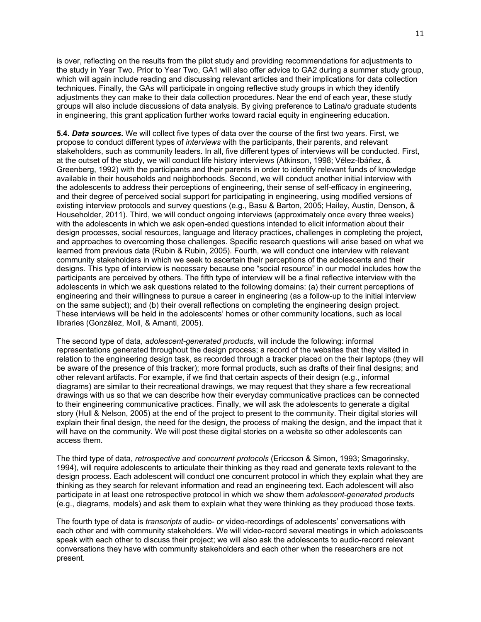is over, reflecting on the results from the pilot study and providing recommendations for adjustments to the study in Year Two. Prior to Year Two, GA1 will also offer advice to GA2 during a summer study group, which will again include reading and discussing relevant articles and their implications for data collection techniques. Finally, the GAs will participate in ongoing reflective study groups in which they identify adjustments they can make to their data collection procedures. Near the end of each year, these study groups will also include discussions of data analysis. By giving preference to Latina/o graduate students in engineering, this grant application further works toward racial equity in engineering education.

**5.4.** *Data sources***.** We will collect five types of data over the course of the first two years. First, we propose to conduct different types of *interviews* with the participants, their parents, and relevant stakeholders, such as community leaders. In all, five different types of interviews will be conducted. First, at the outset of the study, we will conduct life history interviews (Atkinson, 1998; Vélez-Ibáñez, & Greenberg, 1992) with the participants and their parents in order to identify relevant funds of knowledge available in their households and neighborhoods. Second, we will conduct another initial interview with the adolescents to address their perceptions of engineering, their sense of self-efficacy in engineering, and their degree of perceived social support for participating in engineering, using modified versions of existing interview protocols and survey questions (e.g., Basu & Barton, 2005; Hailey, Austin, Denson, & Householder, 2011). Third, we will conduct ongoing interviews (approximately once every three weeks) with the adolescents in which we ask open-ended questions intended to elicit information about their design processes, social resources, language and literacy practices, challenges in completing the project, and approaches to overcoming those challenges. Specific research questions will arise based on what we learned from previous data (Rubin & Rubin, 2005). Fourth, we will conduct one interview with relevant community stakeholders in which we seek to ascertain their perceptions of the adolescents and their designs. This type of interview is necessary because one "social resource" in our model includes how the participants are perceived by others. The fifth type of interview will be a final reflective interview with the adolescents in which we ask questions related to the following domains: (a) their current perceptions of engineering and their willingness to pursue a career in engineering (as a follow-up to the initial interview on the same subject); and (b) their overall reflections on completing the engineering design project. These interviews will be held in the adolescents' homes or other community locations, such as local libraries (González, Moll, & Amanti, 2005).

The second type of data, *adolescent-generated products,* will include the following: informal representations generated throughout the design process; a record of the websites that they visited in relation to the engineering design task, as recorded through a tracker placed on the their laptops (they will be aware of the presence of this tracker); more formal products, such as drafts of their final designs; and other relevant artifacts. For example, if we find that certain aspects of their design (e.g., informal diagrams) are similar to their recreational drawings, we may request that they share a few recreational drawings with us so that we can describe how their everyday communicative practices can be connected to their engineering communicative practices. Finally, we will ask the adolescents to generate a digital story (Hull & Nelson, 2005) at the end of the project to present to the community. Their digital stories will explain their final design, the need for the design, the process of making the design, and the impact that it will have on the community. We will post these digital stories on a website so other adolescents can access them.

The third type of data, *retrospective and concurrent protocols* (Ericcson & Simon, 1993; Smagorinsky, 1994)*,* will require adolescents to articulate their thinking as they read and generate texts relevant to the design process. Each adolescent will conduct one concurrent protocol in which they explain what they are thinking as they search for relevant information and read an engineering text. Each adolescent will also participate in at least one retrospective protocol in which we show them *adolescent-generated products* (e.g., diagrams, models) and ask them to explain what they were thinking as they produced those texts.

The fourth type of data is *transcripts* of audio- or video-recordings of adolescents' conversations with each other and with community stakeholders. We will video-record several meetings in which adolescents speak with each other to discuss their project; we will also ask the adolescents to audio-record relevant conversations they have with community stakeholders and each other when the researchers are not present.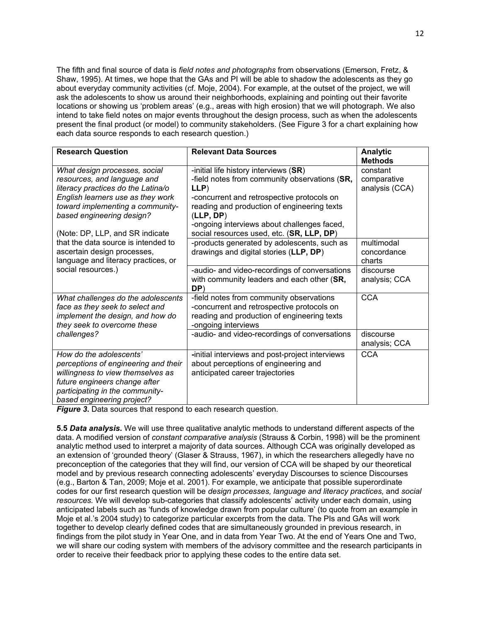The fifth and final source of data is *field notes and photographs* from observations (Emerson, Fretz, & Shaw, 1995). At times, we hope that the GAs and PI will be able to shadow the adolescents as they go about everyday community activities (cf. Moje, 2004). For example, at the outset of the project, we will ask the adolescents to show us around their neighborhoods, explaining and pointing out their favorite locations or showing us 'problem areas' (e.g., areas with high erosion) that we will photograph. We also intend to take field notes on major events throughout the design process, such as when the adolescents present the final product (or model) to community stakeholders. (See Figure 3 for a chart explaining how each data source responds to each research question.)

| <b>Research Question</b>                                                                                                                                                                                                                    | <b>Relevant Data Sources</b>                                                                                                                                                                                                                                                                          | Analytic<br><b>Methods</b>                                        |
|---------------------------------------------------------------------------------------------------------------------------------------------------------------------------------------------------------------------------------------------|-------------------------------------------------------------------------------------------------------------------------------------------------------------------------------------------------------------------------------------------------------------------------------------------------------|-------------------------------------------------------------------|
| What design processes, social<br>resources, and language and<br>literacy practices do the Latina/o<br>English learners use as they work<br>toward implementing a community-<br>based engineering design?<br>(Note: DP, LLP, and SR indicate | -initial life history interviews $(SR)$<br>-field notes from community observations (SR,<br>LLP<br>-concurrent and retrospective protocols on<br>reading and production of engineering texts<br>(LLP, DP)<br>-ongoing interviews about challenges faced,<br>social resources used, etc. (SR, LLP, DP) | constant<br>comparative<br>analysis (CCA)                         |
| that the data source is intended to<br>ascertain design processes,<br>language and literacy practices, or<br>social resources.)                                                                                                             | -products generated by adolescents, such as<br>drawings and digital stories (LLP, DP)<br>-audio- and video-recordings of conversations<br>with community leaders and each other (SR,<br>DP)                                                                                                           | multimodal<br>concordance<br>charts<br>discourse<br>analysis; CCA |
| What challenges do the adolescents<br>face as they seek to select and<br>implement the design, and how do<br>they seek to overcome these                                                                                                    | -field notes from community observations<br>-concurrent and retrospective protocols on<br>reading and production of engineering texts<br>-ongoing interviews                                                                                                                                          | <b>CCA</b>                                                        |
| challenges?                                                                                                                                                                                                                                 | -audio- and video-recordings of conversations                                                                                                                                                                                                                                                         | discourse<br>analysis; CCA                                        |
| How do the adolescents'<br>perceptions of engineering and their<br>willingness to view themselves as<br>future engineers change after<br>participating in the community-<br>based engineering project?                                      | -initial interviews and post-project interviews<br>about perceptions of engineering and<br>anticipated career trajectories                                                                                                                                                                            | <b>CCA</b>                                                        |

*Figure 3.* Data sources that respond to each research question.

**5.5** *Data analysis***.** We will use three qualitative analytic methods to understand different aspects of the data. A modified version of *constant comparative analysis* (Strauss & Corbin, 1998) will be the prominent analytic method used to interpret a majority of data sources. Although CCA was originally developed as an extension of 'grounded theory' (Glaser & Strauss, 1967), in which the researchers allegedly have no preconception of the categories that they will find, our version of CCA will be shaped by our theoretical model and by previous research connecting adolescents' everyday Discourses to science Discourses (e.g., Barton & Tan, 2009; Moje et al. 2001). For example, we anticipate that possible superordinate codes for our first research question will be *design processes, language and literacy practices,* and *social resources.* We will develop sub-categories that classify adolescents' activity under each domain, using anticipated labels such as 'funds of knowledge drawn from popular culture' (to quote from an example in Moje et al.'s 2004 study) to categorize particular excerpts from the data. The PIs and GAs will work together to develop clearly defined codes that are simultaneously grounded in previous research, in findings from the pilot study in Year One, and in data from Year Two. At the end of Years One and Two, we will share our coding system with members of the advisory committee and the research participants in order to receive their feedback prior to applying these codes to the entire data set.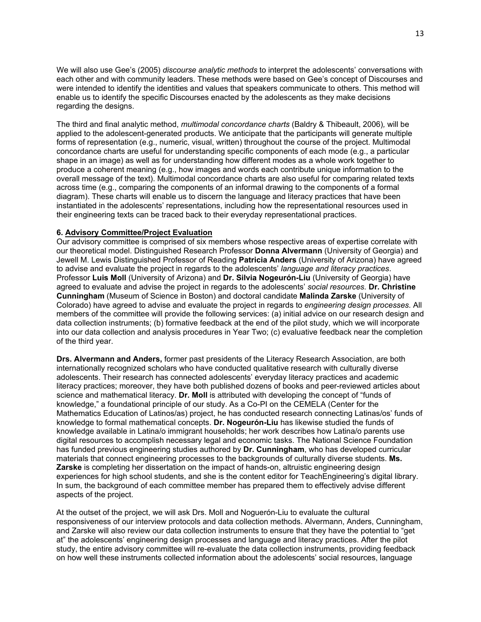We will also use Gee's (2005) *discourse analytic methods* to interpret the adolescents' conversations with each other and with community leaders. These methods were based on Gee's concept of Discourses and were intended to identify the identities and values that speakers communicate to others. This method will enable us to identify the specific Discourses enacted by the adolescents as they make decisions regarding the designs.

The third and final analytic method, *multimodal concordance charts* (Baldry & Thibeault, 2006)*,* will be applied to the adolescent-generated products. We anticipate that the participants will generate multiple forms of representation (e.g., numeric, visual, written) throughout the course of the project. Multimodal concordance charts are useful for understanding specific components of each mode (e.g., a particular shape in an image) as well as for understanding how different modes as a whole work together to produce a coherent meaning (e.g., how images and words each contribute unique information to the overall message of the text). Multimodal concordance charts are also useful for comparing related texts across time (e.g., comparing the components of an informal drawing to the components of a formal diagram). These charts will enable us to discern the language and literacy practices that have been instantiated in the adolescents' representations, including how the representational resources used in their engineering texts can be traced back to their everyday representational practices.

## **6. Advisory Committee/Project Evaluation**

Our advisory committee is comprised of six members whose respective areas of expertise correlate with our theoretical model. Distinguished Research Professor **Donna Alvermann** (University of Georgia) and Jewell M. Lewis Distinguished Professor of Reading **Patricia Anders** (University of Arizona) have agreed to advise and evaluate the project in regards to the adolescents' *language and literacy practices*. Professor **Luis Moll** (University of Arizona) and **Dr. Silvia Nogeurón-Liu** (University of Georgia) have agreed to evaluate and advise the project in regards to the adolescents' *social resources.* **Dr. Christine Cunningham** (Museum of Science in Boston) and doctoral candidate **Malinda Zarske** (University of Colorado) have agreed to advise and evaluate the project in regards to *engineering design processes.* All members of the committee will provide the following services: (a) initial advice on our research design and data collection instruments; (b) formative feedback at the end of the pilot study, which we will incorporate into our data collection and analysis procedures in Year Two; (c) evaluative feedback near the completion of the third year.

**Drs. Alvermann and Anders,** former past presidents of the Literacy Research Association, are both internationally recognized scholars who have conducted qualitative research with culturally diverse adolescents. Their research has connected adolescents' everyday literacy practices and academic literacy practices; moreover, they have both published dozens of books and peer-reviewed articles about science and mathematical literacy. **Dr. Moll** is attributed with developing the concept of "funds of knowledge," a foundational principle of our study. As a Co-PI on the CEMELA (Center for the Mathematics Education of Latinos/as) project, he has conducted research connecting Latinas/os' funds of knowledge to formal mathematical concepts. **Dr. Nogeurón-Liu** has likewise studied the funds of knowledge available in Latina/o immigrant households; her work describes how Latina/o parents use digital resources to accomplish necessary legal and economic tasks. The National Science Foundation has funded previous engineering studies authored by **Dr. Cunningham**, who has developed curricular materials that connect engineering processes to the backgrounds of culturally diverse students. **Ms. Zarske** is completing her dissertation on the impact of hands-on, altruistic engineering design experiences for high school students, and she is the content editor for TeachEngineering's digital library. In sum, the background of each committee member has prepared them to effectively advise different aspects of the project.

At the outset of the project, we will ask Drs. Moll and Noguerón-Liu to evaluate the cultural responsiveness of our interview protocols and data collection methods. Alvermann, Anders, Cunningham, and Zarske will also review our data collection instruments to ensure that they have the potential to "get at" the adolescents' engineering design processes and language and literacy practices. After the pilot study, the entire advisory committee will re-evaluate the data collection instruments, providing feedback on how well these instruments collected information about the adolescents' social resources, language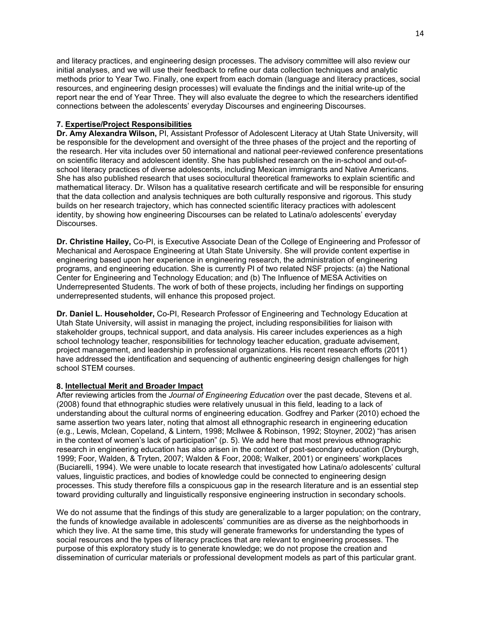and literacy practices, and engineering design processes. The advisory committee will also review our initial analyses, and we will use their feedback to refine our data collection techniques and analytic methods prior to Year Two. Finally, one expert from each domain (language and literacy practices, social resources, and engineering design processes) will evaluate the findings and the initial write-up of the report near the end of Year Three. They will also evaluate the degree to which the researchers identified connections between the adolescents' everyday Discourses and engineering Discourses.

## **7. Expertise/Project Responsibilities**

**Dr. Amy Alexandra Wilson,** PI, Assistant Professor of Adolescent Literacy at Utah State University, will be responsible for the development and oversight of the three phases of the project and the reporting of the research. Her vita includes over 50 international and national peer-reviewed conference presentations on scientific literacy and adolescent identity. She has published research on the in-school and out-ofschool literacy practices of diverse adolescents, including Mexican immigrants and Native Americans. She has also published research that uses sociocultural theoretical frameworks to explain scientific and mathematical literacy. Dr. Wilson has a qualitative research certificate and will be responsible for ensuring that the data collection and analysis techniques are both culturally responsive and rigorous. This study builds on her research trajectory, which has connected scientific literacy practices with adolescent identity, by showing how engineering Discourses can be related to Latina/o adolescents' everyday Discourses.

**Dr. Christine Hailey,** Co-PI, is Executive Associate Dean of the College of Engineering and Professor of Mechanical and Aerospace Engineering at Utah State University. She will provide content expertise in engineering based upon her experience in engineering research, the administration of engineering programs, and engineering education. She is currently PI of two related NSF projects: (a) the National Center for Engineering and Technology Education; and (b) The Influence of MESA Activities on Underrepresented Students. The work of both of these projects, including her findings on supporting underrepresented students, will enhance this proposed project.

**Dr. Daniel L. Householder,** Co-PI, Research Professor of Engineering and Technology Education at Utah State University, will assist in managing the project, including responsibilities for liaison with stakeholder groups, technical support, and data analysis. His career includes experiences as a high school technology teacher, responsibilities for technology teacher education, graduate advisement, project management, and leadership in professional organizations. His recent research efforts (2011) have addressed the identification and sequencing of authentic engineering design challenges for high school STEM courses.

## **8. Intellectual Merit and Broader Impact**

After reviewing articles from the *Journal of Engineering Education* over the past decade, Stevens et al. (2008) found that ethnographic studies were relatively unusual in this field, leading to a lack of understanding about the cultural norms of engineering education. Godfrey and Parker (2010) echoed the same assertion two years later, noting that almost all ethnographic research in engineering education (e.g., Lewis, Mclean, Copeland, & Lintern, 1998; Mcllwee & Robinson, 1992; Stoyner, 2002) "has arisen in the context of women's lack of participation" (p. 5). We add here that most previous ethnographic research in engineering education has also arisen in the context of post-secondary education (Dryburgh, 1999; Foor, Walden, & Tryten, 2007; Walden & Foor, 2008; Walker, 2001) or engineers' workplaces (Buciarelli, 1994). We were unable to locate research that investigated how Latina/o adolescents' cultural values, linguistic practices, and bodies of knowledge could be connected to engineering design processes. This study therefore fills a conspicuous gap in the research literature and is an essential step toward providing culturally and linguistically responsive engineering instruction in secondary schools.

We do not assume that the findings of this study are generalizable to a larger population; on the contrary, the funds of knowledge available in adolescents' communities are as diverse as the neighborhoods in which they live. At the same time, this study will generate frameworks for understanding the types of social resources and the types of literacy practices that are relevant to engineering processes. The purpose of this exploratory study is to generate knowledge; we do not propose the creation and dissemination of curricular materials or professional development models as part of this particular grant.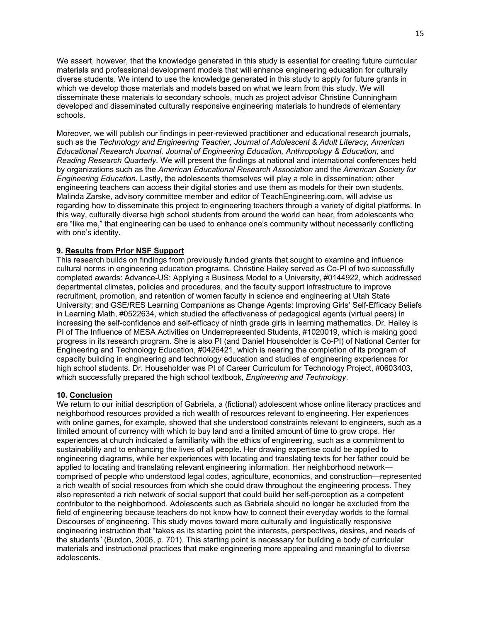We assert, however, that the knowledge generated in this study is essential for creating future curricular materials and professional development models that will enhance engineering education for culturally diverse students. We intend to use the knowledge generated in this study to apply for future grants in which we develop those materials and models based on what we learn from this study. We will disseminate these materials to secondary schools, much as project advisor Christine Cunningham developed and disseminated culturally responsive engineering materials to hundreds of elementary schools.

Moreover, we will publish our findings in peer-reviewed practitioner and educational research journals, such as the *Technology and Engineering Teacher, Journal of Adolescent & Adult Literacy, American Educational Research Journal, Journal of Engineering Education, Anthropology & Education,* and *Reading Research Quarterly.* We will present the findings at national and international conferences held by organizations such as the *American Educational Research Association* and the *American Society for Engineering Education.* Lastly, the adolescents themselves will play a role in dissemination; other engineering teachers can access their digital stories and use them as models for their own students. Malinda Zarske, advisory committee member and editor of TeachEngineering.com, will advise us regarding how to disseminate this project to engineering teachers through a variety of digital platforms. In this way, culturally diverse high school students from around the world can hear, from adolescents who are "like me," that engineering can be used to enhance one's community without necessarily conflicting with one's identity.

## **9. Results from Prior NSF Support**

This research builds on findings from previously funded grants that sought to examine and influence cultural norms in engineering education programs. Christine Hailey served as Co-PI of two successfully completed awards: Advance-US: Applying a Business Model to a University, #0144922, which addressed departmental climates, policies and procedures, and the faculty support infrastructure to improve recruitment, promotion, and retention of women faculty in science and engineering at Utah State University; and GSE/RES Learning Companions as Change Agents: Improving Girls' Self-Efficacy Beliefs in Learning Math, #0522634, which studied the effectiveness of pedagogical agents (virtual peers) in increasing the self-confidence and self-efficacy of ninth grade girls in learning mathematics. Dr. Hailey is PI of The Influence of MESA Activities on Underrepresented Students, #1020019, which is making good progress in its research program. She is also PI (and Daniel Householder is Co-PI) of National Center for Engineering and Technology Education, #0426421, which is nearing the completion of its program of capacity building in engineering and technology education and studies of engineering experiences for high school students. Dr. Householder was PI of Career Curriculum for Technology Project, #0603403, which successfully prepared the high school textbook, *Engineering and Technology*.

## **10. Conclusion**

We return to our initial description of Gabriela, a (fictional) adolescent whose online literacy practices and neighborhood resources provided a rich wealth of resources relevant to engineering. Her experiences with online games, for example, showed that she understood constraints relevant to engineers, such as a limited amount of currency with which to buy land and a limited amount of time to grow crops. Her experiences at church indicated a familiarity with the ethics of engineering, such as a commitment to sustainability and to enhancing the lives of all people. Her drawing expertise could be applied to engineering diagrams, while her experiences with locating and translating texts for her father could be applied to locating and translating relevant engineering information. Her neighborhood network comprised of people who understood legal codes, agriculture, economics, and construction—represented a rich wealth of social resources from which she could draw throughout the engineering process. They also represented a rich network of social support that could build her self-perception as a competent contributor to the neighborhood. Adolescents such as Gabriela should no longer be excluded from the field of engineering because teachers do not know how to connect their everyday worlds to the formal Discourses of engineering. This study moves toward more culturally and linguistically responsive engineering instruction that "takes as its starting point the interests, perspectives, desires, and needs of the students" (Buxton, 2006, p. 701). This starting point is necessary for building a body of curricular materials and instructional practices that make engineering more appealing and meaningful to diverse adolescents.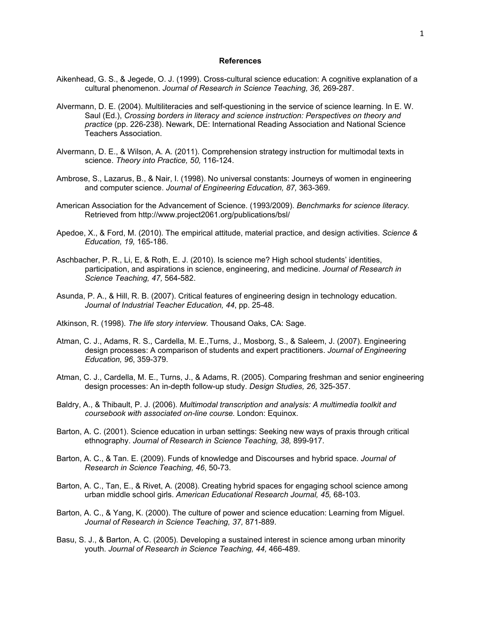#### **References**

- Aikenhead, G. S., & Jegede, O. J. (1999). Cross-cultural science education: A cognitive explanation of a cultural phenomenon. *Journal of Research in Science Teaching, 36,* 269-287.
- Alvermann, D. E. (2004). Multiliteracies and self-questioning in the service of science learning. In E. W. Saul (Ed.), *Crossing borders in literacy and science instruction: Perspectives on theory and practice* (pp. 226-238). Newark, DE: International Reading Association and National Science Teachers Association.
- Alvermann, D. E., & Wilson, A. A. (2011). Comprehension strategy instruction for multimodal texts in science. *Theory into Practice, 50,* 116-124.
- Ambrose, S., Lazarus, B., & Nair, I. (1998). No universal constants: Journeys of women in engineering and computer science. *Journal of Engineering Education, 87,* 363-369.
- American Association for the Advancement of Science. (1993/2009). *Benchmarks for science literacy.*  Retrieved from http://www.project2061.org/publications/bsl/
- Apedoe, X., & Ford, M. (2010). The empirical attitude, material practice, and design activities. *Science & Education, 19,* 165-186.
- Aschbacher, P. R., Li, E, & Roth, E. J. (2010). Is science me? High school students' identities, participation, and aspirations in science, engineering, and medicine. *Journal of Research in Science Teaching, 47,* 564-582.
- Asunda, P. A., & Hill, R. B. (2007). Critical features of engineering design in technology education. *Journal of Industrial Teacher Education, 44*, pp. 25-48.
- Atkinson, R. (1998). *The life story interview.* Thousand Oaks, CA: Sage.
- Atman, C. J., Adams, R. S., Cardella, M. E.,Turns, J., Mosborg, S., & Saleem, J. (2007). Engineering design processes: A comparison of students and expert practitioners. *Journal of Engineering Education, 96*, 359-379.
- Atman, C. J., Cardella, M. E., Turns, J., & Adams, R. (2005). Comparing freshman and senior engineering design processes: An in-depth follow-up study. *Design Studies, 26,* 325-357.
- Baldry, A., & Thibault, P. J. (2006). *Multimodal transcription and analysis: A multimedia toolkit and coursebook with associated on-line course.* London: Equinox.
- Barton, A. C. (2001). Science education in urban settings: Seeking new ways of praxis through critical ethnography. *Journal of Research in Science Teaching, 38,* 899-917.
- Barton, A. C., & Tan. E. (2009). Funds of knowledge and Discourses and hybrid space. *Journal of Research in Science Teaching, 46*, 50-73.
- Barton, A. C., Tan, E., & Rivet, A. (2008). Creating hybrid spaces for engaging school science among urban middle school girls. *American Educational Research Journal, 45,* 68-103.
- Barton, A. C., & Yang, K. (2000). The culture of power and science education: Learning from Miguel. *Journal of Research in Science Teaching, 37,* 871-889.
- Basu, S. J., & Barton, A. C. (2005). Developing a sustained interest in science among urban minority youth. *Journal of Research in Science Teaching, 44,* 466-489.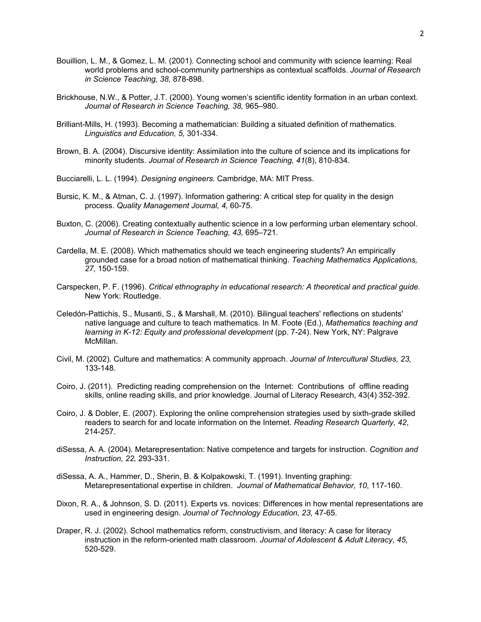- Bouillion, L. M., & Gomez, L. M. (2001). Connecting school and community with science learning: Real world problems and school-community partnerships as contextual scaffolds. *Journal of Research in Science Teaching, 38,* 878-898.
- Brickhouse, N.W., & Potter, J.T. (2000). Young women's scientific identity formation in an urban context. *Journal of Research in Science Teaching, 38,* 965–980.
- Brilliant-Mills, H. (1993). Becoming a mathematician: Building a situated definition of mathematics. *Linguistics and Education, 5,* 301-334.
- Brown, B. A. (2004). Discursive identity: Assimilation into the culture of science and its implications for minority students. *Journal of Research in Science Teaching, 41*(8), 810-834.
- Bucciarelli, L. L. (1994). *Designing engineers.* Cambridge, MA: MIT Press.
- Bursic, K. M., & Atman, C. J. (1997). Information gathering: A critical step for quality in the design process. *Quality Management Journal, 4,* 60-75.
- Buxton, C. (2006). Creating contextually authentic science in a low performing urban elementary school. *Journal of Research in Science Teaching, 43,* 695–721.
- Cardella, M. E. (2008). Which mathematics should we teach engineering students? An empirically grounded case for a broad notion of mathematical thinking. *Teaching Mathematics Applications, 27,* 150-159.
- Carspecken, P. F. (1996). *Critical ethnography in educational research: A theoretical and practical guide.*  New York: Routledge.
- Celedón-Pattichis, S., Musanti, S., & Marshall, M. (2010). Bilingual teachers' reflections on students' native language and culture to teach mathematics. In M. Foote (Ed.), *Mathematics teaching and*  learning in K-12: Equity and professional development (pp. 7-24). New York, NY: Palgrave McMillan.
- Civil, M. (2002). Culture and mathematics: A community approach. *Journal of Intercultural Studies, 23,*  133-148.
- Coiro, J. (2011). Predicting reading comprehension on the Internet: Contributions of offline reading skills, online reading skills, and prior knowledge. Journal of Literacy Research, 43(4) 352-392.
- Coiro, J. & Dobler, E. (2007). Exploring the online comprehension strategies used by sixth-grade skilled readers to search for and locate information on the Internet. *Reading Research Quarterly, 42*, 214-257.
- diSessa, A. A. (2004). Metarepresentation: Native competence and targets for instruction. *Cognition and Instruction, 22,* 293-331.
- diSessa, A. A., Hammer, D., Sherin, B. & Kolpakowski, T. (1991). Inventing graphing: Metarepresentational expertise in children. *Journal of Mathematical Behavior, 10*, 117-160.
- Dixon, R. A., & Johnson, S. D. (2011). Experts vs. novices: Differences in how mental representations are used in engineering design. *Journal of Technology Education, 23,* 47-65.
- Draper, R. J. (2002). School mathematics reform, constructivism, and literacy: A case for literacy instruction in the reform-oriented math classroom. *Journal of Adolescent & Adult Literacy, 45,* 520-529.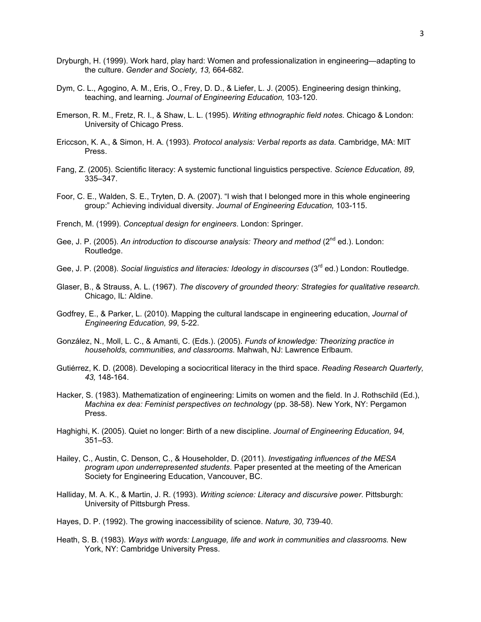- Dryburgh, H. (1999). Work hard, play hard: Women and professionalization in engineering—adapting to the culture. *Gender and Society, 13,* 664-682.
- Dym, C. L., Agogino, A. M., Eris, O., Frey, D. D., & Liefer, L. J. (2005). Engineering design thinking, teaching, and learning. *Journal of Engineering Education,* 103-120.
- Emerson, R. M., Fretz, R. I., & Shaw, L. L. (1995). *Writing ethnographic field notes.* Chicago & London: University of Chicago Press.
- Ericcson, K. A., & Simon, H. A. (1993). *Protocol analysis: Verbal reports as data.* Cambridge, MA: MIT Press.
- Fang, Z. (2005). Scientific literacy: A systemic functional linguistics perspective. *Science Education, 89,*  335–347.
- Foor, C. E., Walden, S. E., Tryten, D. A. (2007). "I wish that I belonged more in this whole engineering group:" Achieving individual diversity. *Journal of Engineering Education,* 103-115.
- French, M. (1999). *Conceptual design for engineers*. London: Springer.
- Gee, J. P. (2005). An introduction to discourse analysis: Theory and method (2<sup>nd</sup> ed.). London: Routledge.
- Gee, J. P. (2008). *Social linguistics and literacies: Ideology in discourses* (3<sup>rd</sup> ed.) London: Routledge.
- Glaser, B., & Strauss, A. L. (1967). *The discovery of grounded theory: Strategies for qualitative research.* Chicago, IL: Aldine.
- Godfrey, E., & Parker, L. (2010). Mapping the cultural landscape in engineering education, *Journal of Engineering Education, 99*, 5-22.
- González, N., Moll, L. C., & Amanti, C. (Eds.). (2005). *Funds of knowledge: Theorizing practice in households, communities, and classrooms.* Mahwah, NJ: Lawrence Erlbaum.
- Gutiérrez, K. D. (2008). Developing a sociocritical literacy in the third space. *Reading Research Quarterly, 43,* 148-164.
- Hacker, S. (1983). Mathematization of engineering: Limits on women and the field. In J. Rothschild (Ed.), *Machina ex dea: Feminist perspectives on technology* (pp. 38-58). New York, NY: Pergamon Press.
- Haghighi, K. (2005). Quiet no longer: Birth of a new discipline. *Journal of Engineering Education, 94,* 351–53.
- Hailey, C., Austin, C. Denson, C., & Householder, D. (2011). *Investigating influences of the MESA program upon underrepresented students*. Paper presented at the meeting of the American Society for Engineering Education, Vancouver, BC.
- Halliday, M. A. K., & Martin, J. R. (1993). *Writing science: Literacy and discursive power*. Pittsburgh: University of Pittsburgh Press.
- Hayes, D. P. (1992). The growing inaccessibility of science. *Nature, 30,* 739-40.
- Heath, S. B. (1983). *Ways with words: Language, life and work in communities and classrooms.* New York, NY: Cambridge University Press.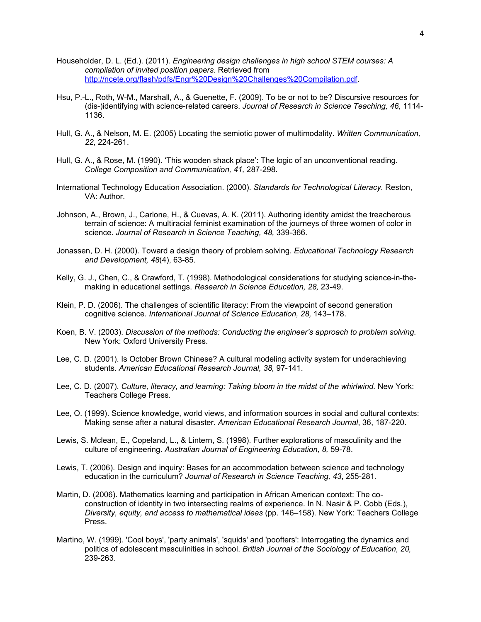- Householder, D. L. (Ed.). (2011). *Engineering design challenges in high school STEM courses: A compilation of invited position papers*. Retrieved from [http://ncete.org/flash/pdfs/Engr%20Design%20Challenges%20Compilation.pdf.](http://ncete.org/flash/pdfs/Engr%20Design%20Challenges%20Compilation.pdf)
- Hsu, P.-L., Roth, W-M., Marshall, A., & Guenette, F. (2009). To be or not to be? Discursive resources for (dis-)identifying with science-related careers. *Journal of Research in Science Teaching, 46,* 1114- 1136.
- Hull, G. A., & Nelson, M. E. (2005) Locating the semiotic power of multimodality. *Written Communication, 22*, 224-261.
- Hull, G. A., & Rose, M. (1990). 'This wooden shack place': The logic of an unconventional reading. *College Composition and Communication, 41,* 287-298.
- International Technology Education Association. (2000). *Standards for Technological Literacy.* Reston, VA: Author.
- Johnson, A., Brown, J., Carlone, H., & Cuevas, A. K. (2011). Authoring identity amidst the treacherous terrain of science: A multiracial feminist examination of the journeys of three women of color in science. *Journal of Research in Science Teaching, 48,* 339-366.
- Jonassen, D. H. (2000). Toward a design theory of problem solving. *Educational Technology Research and Development, 48*(4), 63-85.
- Kelly, G. J., Chen, C., & Crawford, T. (1998). Methodological considerations for studying science-in-themaking in educational settings. *Research in Science Education, 28,* 23-49.
- Klein, P. D. (2006). The challenges of scientific literacy: From the viewpoint of second generation cognitive science. *International Journal of Science Education, 28,* 143–178.
- Koen, B. V. (2003). *Discussion of the methods: Conducting the engineer's approach to problem solving.* New York: Oxford University Press.
- Lee, C. D. (2001). Is October Brown Chinese? A cultural modeling activity system for underachieving students. *American Educational Research Journal, 38,* 97-141.
- Lee, C. D. (2007). *Culture, literacy, and learning: Taking bloom in the midst of the whirlwind.* New York: Teachers College Press.
- Lee, O. (1999). Science knowledge, world views, and information sources in social and cultural contexts: Making sense after a natural disaster. *American Educational Research Journal*, 36, 187-220.
- Lewis, S. Mclean, E., Copeland, L., & Lintern, S. (1998). Further explorations of masculinity and the culture of engineering. *Australian Journal of Engineering Education, 8,* 59-78.
- Lewis, T. (2006). Design and inquiry: Bases for an accommodation between science and technology education in the curriculum? *Journal of Research in Science Teaching, 43*, 255-281.
- Martin, D. (2006). Mathematics learning and participation in African American context: The coconstruction of identity in two intersecting realms of experience. In N. Nasir & P. Cobb (Eds.), *Diversity, equity, and access to mathematical ideas* (pp. 146–158). New York: Teachers College Press.
- Martino, W. (1999). 'Cool boys', 'party animals', 'squids' and 'poofters': Interrogating the dynamics and politics of adolescent masculinities in school. *British Journal of the Sociology of Education, 20,*  239-263.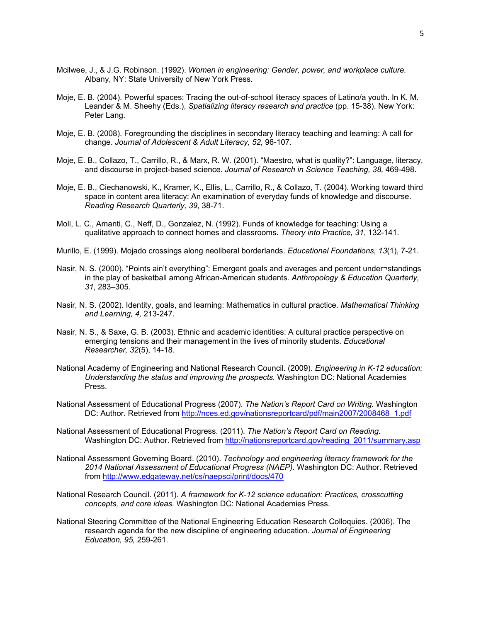- Mcilwee, J., & J.G. Robinson. (1992). *Women in engineering: Gender, power, and workplace culture.*  Albany, NY: State University of New York Press.
- Moje, E. B. (2004). Powerful spaces: Tracing the out-of-school literacy spaces of Latino/a youth. In K. M. Leander & M. Sheehy (Eds.), *Spatializing literacy research and practice* (pp. 15-38). New York: Peter Lang.
- Moje, E. B. (2008). Foregrounding the disciplines in secondary literacy teaching and learning: A call for change. *Journal of Adolescent & Adult Literacy, 52,* 96-107.
- Moje, E. B., Collazo, T., Carrillo, R., & Marx, R. W. (2001). "Maestro, what is quality?": Language, literacy, and discourse in project-based science. *Journal of Research in Science Teaching, 38,* 469-498.
- Moje, E. B., Ciechanowski, K., Kramer, K., Ellis, L., Carrillo, R., & Collazo, T. (2004). Working toward third space in content area literacy: An examination of everyday funds of knowledge and discourse. *Reading Research Quarterly, 39*, 38-71.
- Moll, L. C., Amanti, C., Neff, D., Gonzalez, N. (1992). Funds of knowledge for teaching: Using a qualitative approach to connect homes and classrooms. *Theory into Practice, 31*, 132-141.
- Murillo, E. (1999). Mojado crossings along neoliberal borderlands. *Educational Foundations, 13*(1), 7-21.
- Nasir, N. S. (2000). "Points ain't everything": Emergent goals and averages and percent under¬standings in the play of basketball among African-American students. *Anthropology & Education Quarterly, 31*, 283–305.
- Nasir, N. S. (2002). Identity, goals, and learning: Mathematics in cultural practice. *Mathematical Thinking and Learning, 4,* 213-247.
- Nasir, N. S., & Saxe, G. B. (2003). Ethnic and academic identities: A cultural practice perspective on emerging tensions and their management in the lives of minority students. *Educational Researcher, 32*(5), 14-18.
- National Academy of Engineering and National Research Council. (2009). *Engineering in K-12 education: Understanding the status and improving the prospects.* Washington DC: National Academies Press.
- National Assessment of Educational Progress (2007). *The Nation's Report Card on Writing.* Washington DC: Author. Retrieved from [http://nces.ed.gov/nationsreportcard/pdf/main2007/2008468\\_1.pdf](http://nces.ed.gov/nationsreportcard/pdf/main2007/2008468_1.pdf)
- National Assessment of Educational Progress. (2011). *The Nation's Report Card on Reading.*  Washington DC: Author. Retrieved from [http://nationsreportcard.gov/reading\\_2011/summary.asp](http://nationsreportcard.gov/reading_2011/summary.asp)
- National Assessment Governing Board. (2010). *Technology and engineering literacy framework for the 2014 National Assessment of Educational Progress (NAEP).* Washington DC: Author. Retrieved from<http://www.edgateway.net/cs/naepsci/print/docs/470>
- National Research Council. (2011). *A framework for K-12 science education: Practices, crosscutting concepts, and core ideas.* Washington DC: National Academies Press.
- National Steering Committee of the National Engineering Education Research Colloquies. (2006). The research agenda for the new discipline of engineering education. *Journal of Engineering Education, 95,* 259-261.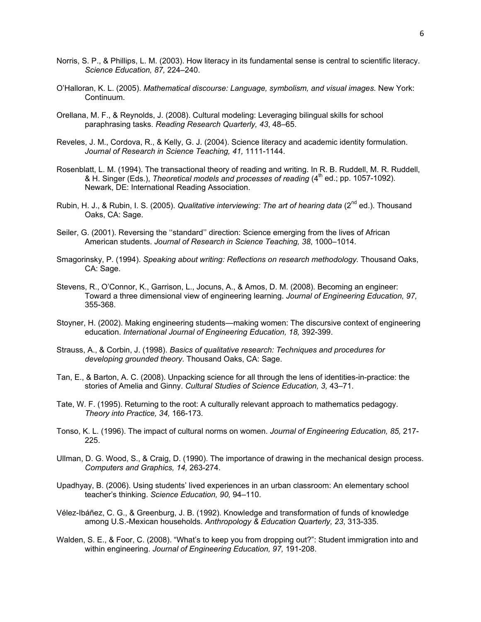- Norris, S. P., & Phillips, L. M. (2003). How literacy in its fundamental sense is central to scientific literacy. *Science Education, 87,* 224–240.
- O'Halloran, K. L. (2005). *Mathematical discourse: Language, symbolism, and visual images.* New York: Continuum.
- Orellana, M. F., & Reynolds, J. (2008). Cultural modeling: Leveraging bilingual skills for school paraphrasing tasks. *Reading Research Quarterly, 43*, 48–65.
- Reveles, J. M., Cordova, R., & Kelly, G. J. (2004). Science literacy and academic identity formulation. *Journal of Research in Science Teaching, 41,* 1111-1144.
- Rosenblatt, L. M. (1994). The transactional theory of reading and writing. In R. B. Ruddell, M. R. Ruddell, & H. Singer (Eds.), *Theoretical models and processes of reading* (4<sup>th</sup> ed.; pp. 1057-1092). Newark, DE: International Reading Association.
- Rubin, H. J., & Rubin, I. S. (2005). *Qualitative interviewing: The art of hearing data* (2<sup>nd</sup> ed.). Thousand Oaks, CA: Sage.
- Seiler, G. (2001). Reversing the ''standard'' direction: Science emerging from the lives of African American students. *Journal of Research in Science Teaching, 38*, 1000–1014.
- Smagorinsky, P. (1994). *Speaking about writing: Reflections on research methodology.* Thousand Oaks, CA: Sage.
- Stevens, R., O'Connor, K., Garrison, L., Jocuns, A., & Amos, D. M. (2008). Becoming an engineer: Toward a three dimensional view of engineering learning. *Journal of Engineering Education, 97,*  355-368.
- Stoyner, H. (2002). Making engineering students—making women: The discursive context of engineering education. *International Journal of Engineering Education, 18,* 392-399.
- Strauss, A., & Corbin, J. (1998). *Basics of qualitative research: Techniques and procedures for developing grounded theory.* Thousand Oaks, CA: Sage.
- Tan, E., & Barton, A. C. (2008). Unpacking science for all through the lens of identities-in-practice: the stories of Amelia and Ginny. *Cultural Studies of Science Education, 3,* 43–71.
- Tate, W. F. (1995). Returning to the root: A culturally relevant approach to mathematics pedagogy. *Theory into Practice, 34,* 166-173.
- Tonso, K. L. (1996). The impact of cultural norms on women. *Journal of Engineering Education, 85,* 217- 225.
- Ullman, D. G. Wood, S., & Craig, D. (1990). The importance of drawing in the mechanical design process. *Computers and Graphics, 14,* 263-274.
- Upadhyay, B. (2006). Using students' lived experiences in an urban classroom: An elementary school teacher's thinking. *Science Education, 90,* 94–110.
- Vélez-Ibáñez, C. G., & Greenburg, J. B. (1992). Knowledge and transformation of funds of knowledge among U.S.-Mexican households. *Anthropology & Education Quarterly, 23*, 313-335.
- Walden, S. E., & Foor, C. (2008). "What's to keep you from dropping out?": Student immigration into and within engineering. *Journal of Engineering Education, 97,* 191-208.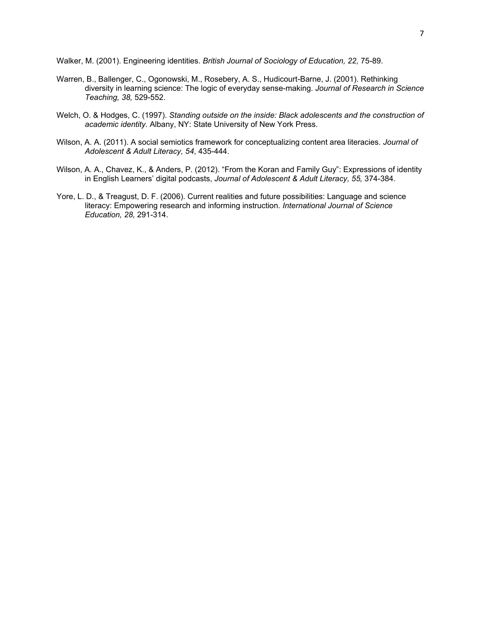Walker, M. (2001). Engineering identities. *British Journal of Sociology of Education, 22,* 75-89.

- Warren, B., Ballenger, C., Ogonowski, M., Rosebery, A. S., Hudicourt-Barne, J. (2001). Rethinking diversity in learning science: The logic of everyday sense-making. *Journal of Research in Science Teaching, 38,* 529-552.
- Welch, O. & Hodges, C. (1997). *Standing outside on the inside: Black adolescents and the construction of academic identity*. Albany, NY: State University of New York Press.
- Wilson, A. A. (2011). A social semiotics framework for conceptualizing content area literacies. *Journal of Adolescent & Adult Literacy, 54*, 435-444.
- Wilson, A. A., Chavez, K., & Anders, P. (2012). "From the Koran and Family Guy": Expressions of identity in English Learners' digital podcasts, *Journal of Adolescent & Adult Literacy, 55,* 374-384.
- Yore, L. D., & Treagust, D. F. (2006). Current realities and future possibilities: Language and science literacy: Empowering research and informing instruction. *International Journal of Science Education, 28,* 291-314.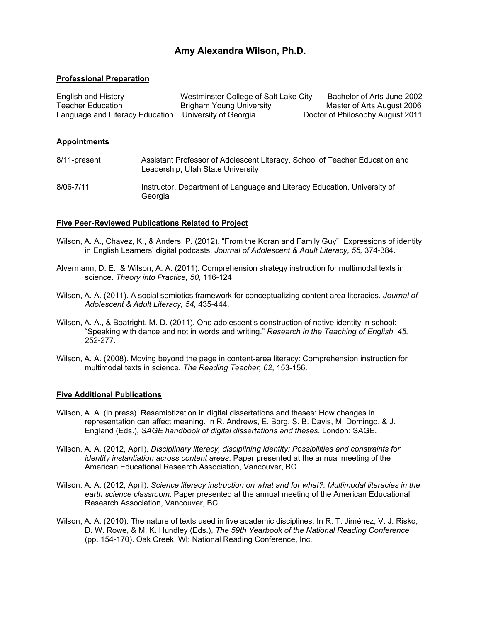## **Amy Alexandra Wilson, Ph.D.**

## **Professional Preparation**

| <b>English and History</b><br><b>Teacher Education</b> |  | Westminster College of Salt Lake City<br><b>Brigham Young University</b>                                         |  | Bachelor of Arts June 2002<br>Master of Arts August 2006 |  |  |
|--------------------------------------------------------|--|------------------------------------------------------------------------------------------------------------------|--|----------------------------------------------------------|--|--|
| Language and Literacy Education                        |  | University of Georgia                                                                                            |  | Doctor of Philosophy August 2011                         |  |  |
|                                                        |  |                                                                                                                  |  |                                                          |  |  |
| <b>Appointments</b>                                    |  |                                                                                                                  |  |                                                          |  |  |
| 8/11-present                                           |  | Assistant Professor of Adolescent Literacy, School of Teacher Education and<br>Leadership, Utah State University |  |                                                          |  |  |
| 8/06-7/11                                              |  | Instructor, Department of Language and Literacy Education, University of                                         |  |                                                          |  |  |

## **Five Peer-Reviewed Publications Related to Project**

Georgia

- Wilson, A. A., Chavez, K., & Anders, P. (2012). "From the Koran and Family Guy": Expressions of identity in English Learners' digital podcasts, *Journal of Adolescent & Adult Literacy, 55,* 374-384.
- Alvermann, D. E., & Wilson, A. A. (2011). Comprehension strategy instruction for multimodal texts in science. *Theory into Practice, 50,* 116-124.
- Wilson, A. A. (2011). A social semiotics framework for conceptualizing content area literacies. *Journal of Adolescent & Adult Literacy, 54,* 435-444.
- Wilson, A. A., & Boatright, M. D. (2011). One adolescent's construction of native identity in school: "Speaking with dance and not in words and writing." *Research in the Teaching of English, 45,* 252-277.
- Wilson, A. A. (2008). Moving beyond the page in content-area literacy: Comprehension instruction for multimodal texts in science. *The Reading Teacher, 62*, 153-156.

## **Five Additional Publications**

- Wilson, A. A. (in press). Resemiotization in digital dissertations and theses: How changes in representation can affect meaning. In R. Andrews, E. Borg, S. B. Davis, M. Domingo, & J. England (Eds.), *SAGE handbook of digital dissertations and theses.* London: SAGE.
- Wilson, A. A. (2012, April). *Disciplinary literacy, disciplining identity: Possibilities and constraints for identity instantiation across content areas*. Paper presented at the annual meeting of the American Educational Research Association, Vancouver, BC.
- Wilson, A. A. (2012, April). *Science literacy instruction on what and for what?: Multimodal literacies in the earth science classroom*. Paper presented at the annual meeting of the American Educational Research Association, Vancouver, BC.
- Wilson, A. A. (2010). The nature of texts used in five academic disciplines. In R. T. Jiménez, V. J. Risko, D. W. Rowe, & M. K. Hundley (Eds.), *The 59th Yearbook of the National Reading Conference* (pp. 154-170). Oak Creek, WI: National Reading Conference, Inc.